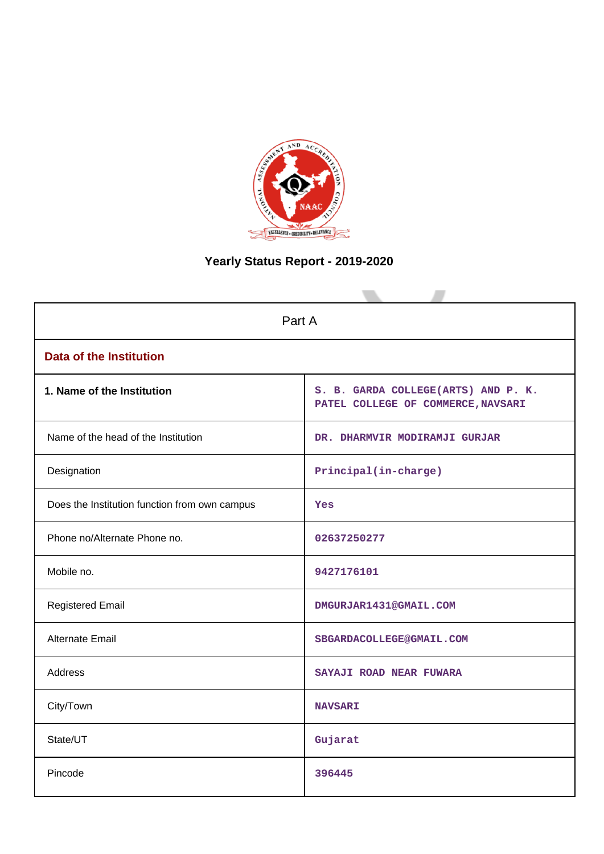

# **Yearly Status Report - 2019-2020**

| Part A                                        |                                                                           |  |  |  |  |
|-----------------------------------------------|---------------------------------------------------------------------------|--|--|--|--|
| <b>Data of the Institution</b>                |                                                                           |  |  |  |  |
| 1. Name of the Institution                    | S. B. GARDA COLLEGE(ARTS) AND P. K.<br>PATEL COLLEGE OF COMMERCE, NAVSARI |  |  |  |  |
| Name of the head of the Institution           | DR. DHARMVIR MODIRAMJI GURJAR                                             |  |  |  |  |
| Designation                                   | Principal(in-charge)                                                      |  |  |  |  |
| Does the Institution function from own campus | Yes                                                                       |  |  |  |  |
| Phone no/Alternate Phone no.                  | 02637250277                                                               |  |  |  |  |
| Mobile no.                                    | 9427176101                                                                |  |  |  |  |
| <b>Registered Email</b>                       | DMGURJAR1431@GMAIL.COM                                                    |  |  |  |  |
| Alternate Email                               | SBGARDACOLLEGE@GMAIL.COM                                                  |  |  |  |  |
| <b>Address</b>                                | SAYAJI ROAD NEAR FUWARA                                                   |  |  |  |  |
| City/Town                                     | <b>NAVSARI</b>                                                            |  |  |  |  |
| State/UT                                      | Gujarat                                                                   |  |  |  |  |
| Pincode                                       | 396445                                                                    |  |  |  |  |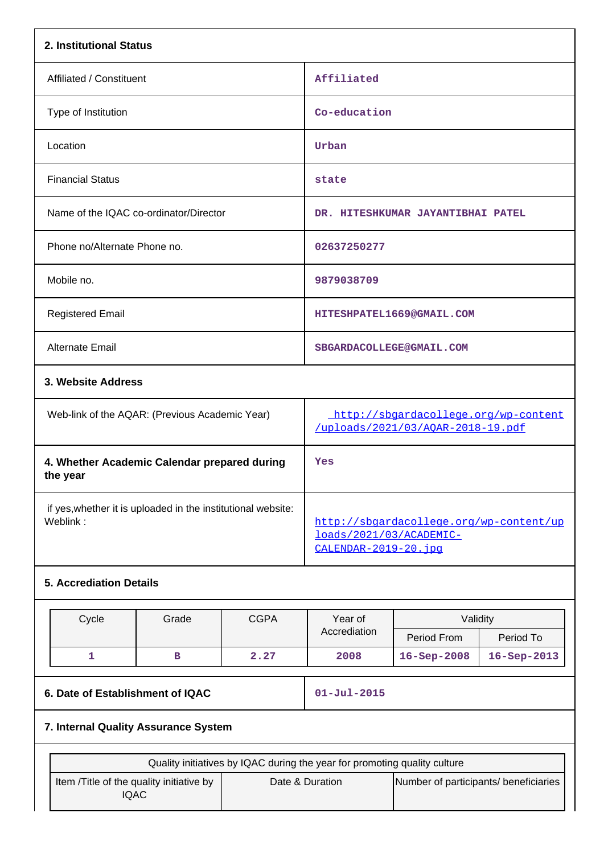| 2. Institutional Status                                                  |       |             |                                                                                                                                       |                                   |             |  |
|--------------------------------------------------------------------------|-------|-------------|---------------------------------------------------------------------------------------------------------------------------------------|-----------------------------------|-------------|--|
| Affiliated / Constituent                                                 |       |             | Affiliated                                                                                                                            |                                   |             |  |
| Type of Institution                                                      |       |             | Co-education                                                                                                                          |                                   |             |  |
| Location                                                                 |       |             | Urban                                                                                                                                 |                                   |             |  |
| <b>Financial Status</b>                                                  |       |             | state                                                                                                                                 |                                   |             |  |
| Name of the IQAC co-ordinator/Director                                   |       |             |                                                                                                                                       | DR. HITESHKUMAR JAYANTIBHAI PATEL |             |  |
| Phone no/Alternate Phone no.                                             |       |             | 02637250277                                                                                                                           |                                   |             |  |
| Mobile no.                                                               |       |             | 9879038709                                                                                                                            |                                   |             |  |
| <b>Registered Email</b>                                                  |       |             |                                                                                                                                       | HITESHPATEL1669@GMAIL.COM         |             |  |
| Alternate Email                                                          |       |             | SBGARDACOLLEGE@GMAIL.COM                                                                                                              |                                   |             |  |
| 3. Website Address                                                       |       |             |                                                                                                                                       |                                   |             |  |
| Web-link of the AQAR: (Previous Academic Year)                           |       |             | http://sbgardacollege.org/wp-content<br>/uploads/2021/03/AQAR-2018-19.pdf                                                             |                                   |             |  |
| 4. Whether Academic Calendar prepared during<br>the year                 |       |             | Yes                                                                                                                                   |                                   |             |  |
| if yes, whether it is uploaded in the institutional website:<br>Weblink: |       |             | http://sbgardacollege.org/wp-content/up<br>loads/2021/03/ACADEMIC-<br>CALENDAR-2019-20.jpq                                            |                                   |             |  |
| <b>5. Accrediation Details</b>                                           |       |             |                                                                                                                                       |                                   |             |  |
| Cycle                                                                    | Grade | <b>CGPA</b> | Year of                                                                                                                               | Validity                          |             |  |
|                                                                          |       |             | Accrediation                                                                                                                          | Period From                       | Period To   |  |
| $\mathbf{1}$                                                             | в     | 2.27        | 2008                                                                                                                                  | 16-Sep-2008                       | 16-Sep-2013 |  |
| 6. Date of Establishment of IQAC                                         |       |             | $01 - Jul - 2015$                                                                                                                     |                                   |             |  |
| 7. Internal Quality Assurance System                                     |       |             |                                                                                                                                       |                                   |             |  |
|                                                                          |       |             |                                                                                                                                       |                                   |             |  |
| Item /Title of the quality initiative by                                 |       |             | Quality initiatives by IQAC during the year for promoting quality culture<br>Date & Duration<br>Number of participants/ beneficiaries |                                   |             |  |

Item /Title of the quality initiative by IQAC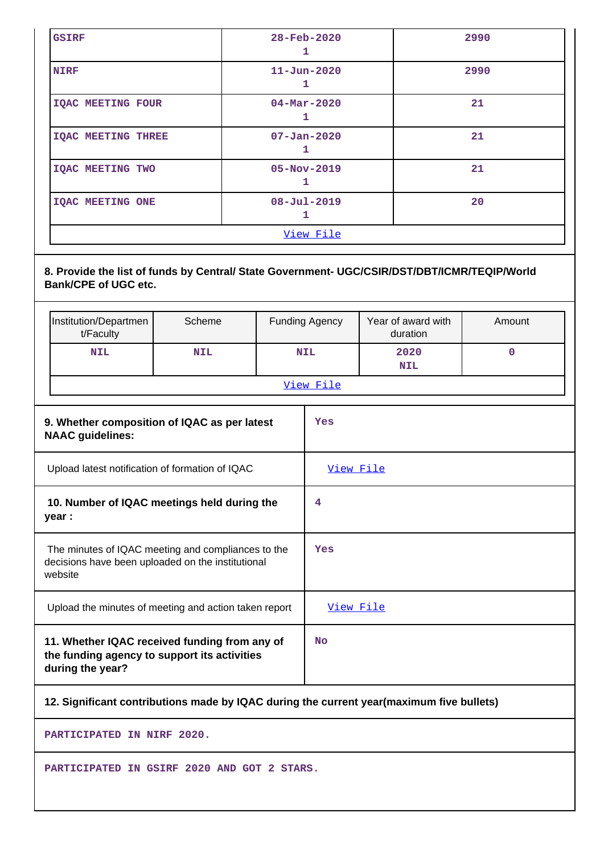| <b>GSIRF</b>              | $28 - \text{Feb} - 2020$<br>ı | 2990 |  |  |  |
|---------------------------|-------------------------------|------|--|--|--|
| <b>NIRF</b>               | $11 - Jun - 2020$             | 2990 |  |  |  |
| <b>IQAC MEETING FOUR</b>  | $04 - Mar - 2020$             | 21   |  |  |  |
| <b>IQAC MEETING THREE</b> | $07 - Jan - 2020$<br>ı        | 21   |  |  |  |
| <b>IQAC MEETING TWO</b>   | $05 - Nov - 2019$             |      |  |  |  |
| <b>IQAC MEETING ONE</b>   | $08 - Jul - 2019$             | 20   |  |  |  |
| View File                 |                               |      |  |  |  |

# **8. Provide the list of funds by Central/ State Government- UGC/CSIR/DST/DBT/ICMR/TEQIP/World Bank/CPE of UGC etc.**

|                                                                                                                    | Institution/Departmen<br>t/Faculty                    | Scheme     | <b>Funding Agency</b> |            | Year of award with<br>duration | Amount      |  |  |
|--------------------------------------------------------------------------------------------------------------------|-------------------------------------------------------|------------|-----------------------|------------|--------------------------------|-------------|--|--|
|                                                                                                                    | <b>NIL</b>                                            | <b>NIL</b> |                       | <b>NIL</b> | 2020<br><b>NIL</b>             | $\mathbf 0$ |  |  |
|                                                                                                                    | View File                                             |            |                       |            |                                |             |  |  |
| 9. Whether composition of IQAC as per latest<br><b>NAAC</b> guidelines:                                            |                                                       |            |                       | Yes        |                                |             |  |  |
| Upload latest notification of formation of IQAC                                                                    |                                                       |            |                       | View File  |                                |             |  |  |
|                                                                                                                    | 10. Number of IQAC meetings held during the<br>year : |            |                       | 4          |                                |             |  |  |
| The minutes of IQAC meeting and compliances to the<br>decisions have been uploaded on the institutional<br>website |                                                       |            | Yes                   |            |                                |             |  |  |
| Upload the minutes of meeting and action taken report                                                              |                                                       |            | View File             |            |                                |             |  |  |
| 11. Whether IQAC received funding from any of<br>the funding agency to support its activities<br>during the year?  |                                                       |            | <b>No</b>             |            |                                |             |  |  |
|                                                                                                                    |                                                       |            |                       |            |                                |             |  |  |

# **12. Significant contributions made by IQAC during the current year(maximum five bullets)**

**PARTICIPATED IN NIRF 2020.**

**PARTICIPATED IN GSIRF 2020 AND GOT 2 STARS.**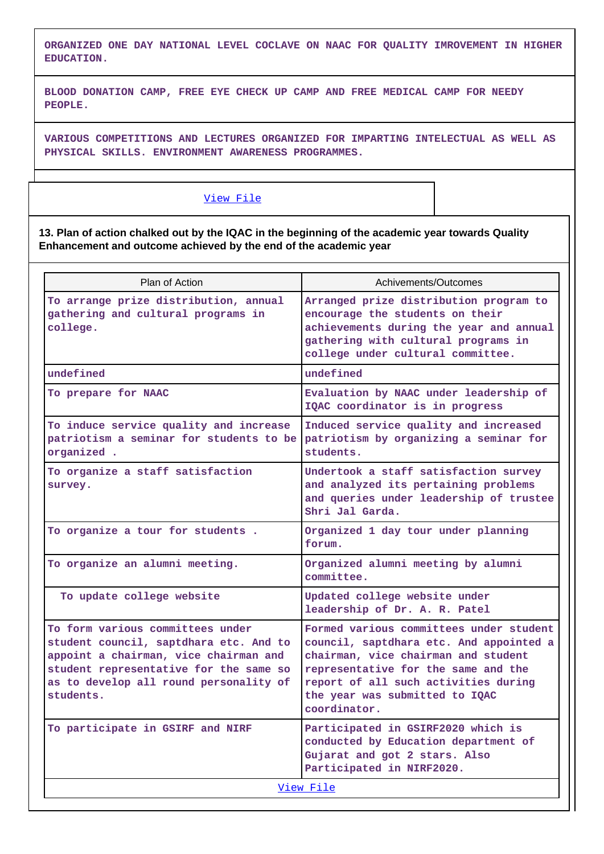**ORGANIZED ONE DAY NATIONAL LEVEL COCLAVE ON NAAC FOR QUALITY IMROVEMENT IN HIGHER EDUCATION.**

**BLOOD DONATION CAMP, FREE EYE CHECK UP CAMP AND FREE MEDICAL CAMP FOR NEEDY PEOPLE.**

**VARIOUS COMPETITIONS AND LECTURES ORGANIZED FOR IMPARTING INTELECTUAL AS WELL AS PHYSICAL SKILLS. ENVIRONMENT AWARENESS PROGRAMMES.**

#### [View File](https://assessmentonline.naac.gov.in/public/Postacc/Contribution/11145_Contribution.xlsx)

**13. Plan of action chalked out by the IQAC in the beginning of the academic year towards Quality Enhancement and outcome achieved by the end of the academic year**

| Plan of Action                                                                                                                                                                                                       | Achivements/Outcomes                                                                                                                                                                                                                                       |
|----------------------------------------------------------------------------------------------------------------------------------------------------------------------------------------------------------------------|------------------------------------------------------------------------------------------------------------------------------------------------------------------------------------------------------------------------------------------------------------|
| To arrange prize distribution, annual<br>gathering and cultural programs in<br>college.                                                                                                                              | Arranged prize distribution program to<br>encourage the students on their<br>achievements during the year and annual<br>gathering with cultural programs in<br>college under cultural committee.                                                           |
| undefined                                                                                                                                                                                                            | undefined                                                                                                                                                                                                                                                  |
| To prepare for NAAC                                                                                                                                                                                                  | Evaluation by NAAC under leadership of<br>IQAC coordinator is in progress                                                                                                                                                                                  |
| To induce service quality and increase<br>patriotism a seminar for students to be<br>organized .                                                                                                                     | Induced service quality and increased<br>patriotism by organizing a seminar for<br>students.                                                                                                                                                               |
| To organize a staff satisfaction<br>survey.                                                                                                                                                                          | Undertook a staff satisfaction survey<br>and analyzed its pertaining problems<br>and queries under leadership of trustee<br>Shri Jal Garda.                                                                                                                |
| To organize a tour for students.                                                                                                                                                                                     | Organized 1 day tour under planning<br>forum.                                                                                                                                                                                                              |
| To organize an alumni meeting.                                                                                                                                                                                       | Organized alumni meeting by alumni<br>committee.                                                                                                                                                                                                           |
| To update college website                                                                                                                                                                                            | Updated college website under<br>leadership of Dr. A. R. Patel                                                                                                                                                                                             |
| To form various committees under<br>student council, saptdhara etc. And to<br>appoint a chairman, vice chairman and<br>student representative for the same so<br>as to develop all round personality of<br>students. | Formed various committees under student<br>council, saptdhara etc. And appointed a<br>chairman, vice chairman and student<br>representative for the same and the<br>report of all such activities during<br>the year was submitted to IQAC<br>coordinator. |
| To participate in GSIRF and NIRF                                                                                                                                                                                     | Participated in GSIRF2020 which is<br>conducted by Education department of<br>Gujarat and got 2 stars. Also<br>Participated in NIRF2020.                                                                                                                   |
|                                                                                                                                                                                                                      | View File                                                                                                                                                                                                                                                  |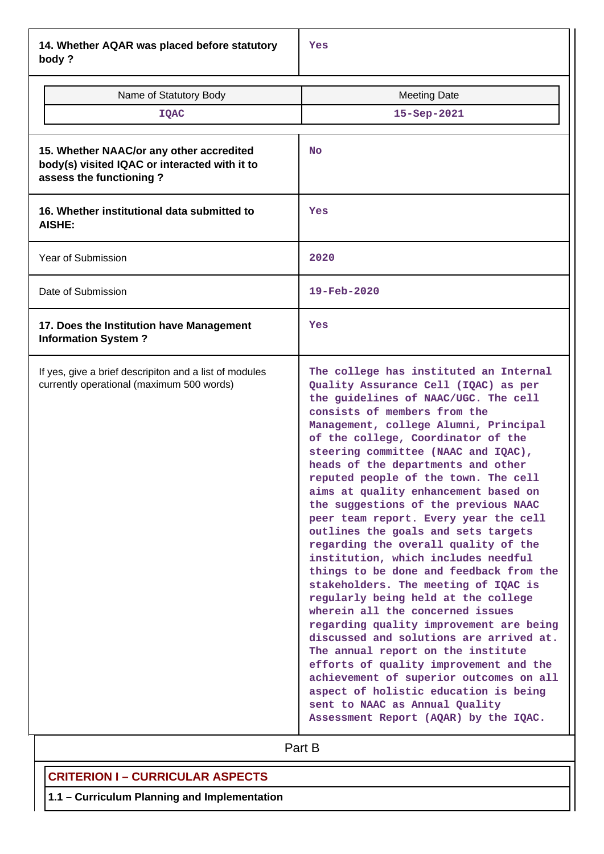**14. Whether AQAR was placed before statutory body ?**

| Name of Statutory Body<br><b>IQAC</b>                                                                                | <b>Meeting Date</b><br>15-Sep-2021                                                                                                                                                                                                                                                                                                                                                                                                                                                                                                                                                                                                                                                                                                                                                                                                                                                                                                                                                                                                                                                                           |
|----------------------------------------------------------------------------------------------------------------------|--------------------------------------------------------------------------------------------------------------------------------------------------------------------------------------------------------------------------------------------------------------------------------------------------------------------------------------------------------------------------------------------------------------------------------------------------------------------------------------------------------------------------------------------------------------------------------------------------------------------------------------------------------------------------------------------------------------------------------------------------------------------------------------------------------------------------------------------------------------------------------------------------------------------------------------------------------------------------------------------------------------------------------------------------------------------------------------------------------------|
| 15. Whether NAAC/or any other accredited<br>body(s) visited IQAC or interacted with it to<br>assess the functioning? | <b>No</b>                                                                                                                                                                                                                                                                                                                                                                                                                                                                                                                                                                                                                                                                                                                                                                                                                                                                                                                                                                                                                                                                                                    |
| 16. Whether institutional data submitted to<br><b>AISHE:</b>                                                         | Yes                                                                                                                                                                                                                                                                                                                                                                                                                                                                                                                                                                                                                                                                                                                                                                                                                                                                                                                                                                                                                                                                                                          |
| <b>Year of Submission</b>                                                                                            | 2020                                                                                                                                                                                                                                                                                                                                                                                                                                                                                                                                                                                                                                                                                                                                                                                                                                                                                                                                                                                                                                                                                                         |
| Date of Submission                                                                                                   | <b>19-Feb-2020</b>                                                                                                                                                                                                                                                                                                                                                                                                                                                                                                                                                                                                                                                                                                                                                                                                                                                                                                                                                                                                                                                                                           |
| 17. Does the Institution have Management<br><b>Information System?</b>                                               | Yes                                                                                                                                                                                                                                                                                                                                                                                                                                                                                                                                                                                                                                                                                                                                                                                                                                                                                                                                                                                                                                                                                                          |
| If yes, give a brief descripiton and a list of modules<br>currently operational (maximum 500 words)                  | The college has instituted an Internal<br>Quality Assurance Cell (IQAC) as per<br>the guidelines of NAAC/UGC. The cell<br>consists of members from the<br>Management, college Alumni, Principal<br>of the college, Coordinator of the<br>steering committee (NAAC and IQAC),<br>heads of the departments and other<br>reputed people of the town. The cell<br>aims at quality enhancement based on<br>the suggestions of the previous NAAC<br>peer team report. Every year the cell<br>outlines the goals and sets targets<br>regarding the overall quality of the<br>institution, which includes needful<br>things to be done and feedback from the<br>stakeholders. The meeting of IQAC is<br>regularly being held at the college<br>wherein all the concerned issues<br>regarding quality improvement are being<br>discussed and solutions are arrived at.<br>The annual report on the institute<br>efforts of quality improvement and the<br>achievement of superior outcomes on all<br>aspect of holistic education is being<br>sent to NAAC as Annual Quality<br>Assessment Report (AQAR) by the IQAC. |

**Part B** 

# **CRITERION I – CURRICULAR ASPECTS**

**1.1 – Curriculum Planning and Implementation**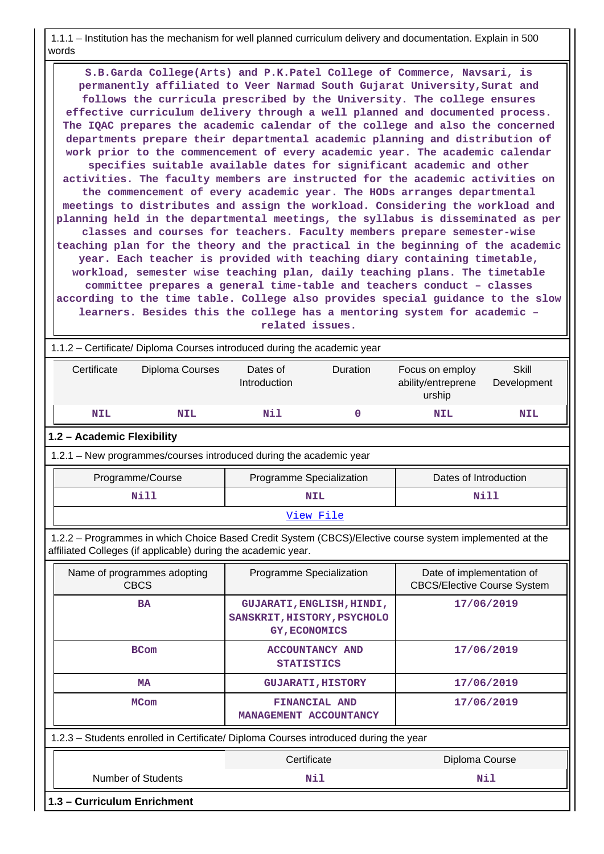1.1.1 – Institution has the mechanism for well planned curriculum delivery and documentation. Explain in 500 words

 **S.B.Garda College(Arts) and P.K.Patel College of Commerce, Navsari, is permanently affiliated to Veer Narmad South Gujarat University,Surat and follows the curricula prescribed by the University. The college ensures effective curriculum delivery through a well planned and documented process. The IQAC prepares the academic calendar of the college and also the concerned departments prepare their departmental academic planning and distribution of work prior to the commencement of every academic year. The academic calendar specifies suitable available dates for significant academic and other activities. The faculty members are instructed for the academic activities on the commencement of every academic year. The HODs arranges departmental meetings to distributes and assign the workload. Considering the workload and planning held in the departmental meetings, the syllabus is disseminated as per classes and courses for teachers. Faculty members prepare semester-wise teaching plan for the theory and the practical in the beginning of the academic year. Each teacher is provided with teaching diary containing timetable, workload, semester wise teaching plan, daily teaching plans. The timetable committee prepares a general time-table and teachers conduct – classes according to the time table. College also provides special guidance to the slow learners. Besides this the college has a mentoring system for academic – related issues.**

| 1.1.2 - Certificate/ Diploma Courses introduced during the academic year |                                                                                                                                                                          |                                                                                      |                                                           |                                                                                         |                                                                 |                             |  |  |
|--------------------------------------------------------------------------|--------------------------------------------------------------------------------------------------------------------------------------------------------------------------|--------------------------------------------------------------------------------------|-----------------------------------------------------------|-----------------------------------------------------------------------------------------|-----------------------------------------------------------------|-----------------------------|--|--|
|                                                                          | Certificate                                                                                                                                                              | Diploma Courses                                                                      | Dates of<br>Introduction                                  | Duration                                                                                | Focus on employ<br>ability/entreprene<br>urship                 | <b>Skill</b><br>Development |  |  |
|                                                                          | <b>NIL</b>                                                                                                                                                               | <b>NIL</b>                                                                           | Nil                                                       | $\mathbf 0$                                                                             | <b>NIL</b>                                                      | <b>NIL</b>                  |  |  |
|                                                                          | 1.2 - Academic Flexibility                                                                                                                                               |                                                                                      |                                                           |                                                                                         |                                                                 |                             |  |  |
|                                                                          |                                                                                                                                                                          | 1.2.1 - New programmes/courses introduced during the academic year                   |                                                           |                                                                                         |                                                                 |                             |  |  |
|                                                                          |                                                                                                                                                                          | Programme/Course                                                                     | Programme Specialization                                  |                                                                                         | Dates of Introduction                                           |                             |  |  |
|                                                                          |                                                                                                                                                                          | Nill                                                                                 |                                                           | <b>NIL</b>                                                                              |                                                                 | <b>Nill</b>                 |  |  |
|                                                                          |                                                                                                                                                                          |                                                                                      |                                                           | View File                                                                               |                                                                 |                             |  |  |
|                                                                          | 1.2.2 - Programmes in which Choice Based Credit System (CBCS)/Elective course system implemented at the<br>affiliated Colleges (if applicable) during the academic year. |                                                                                      |                                                           |                                                                                         |                                                                 |                             |  |  |
|                                                                          |                                                                                                                                                                          | Name of programmes adopting<br><b>CBCS</b>                                           | Programme Specialization                                  |                                                                                         | Date of implementation of<br><b>CBCS/Elective Course System</b> |                             |  |  |
|                                                                          |                                                                                                                                                                          | <b>BA</b>                                                                            |                                                           | 17/06/2019<br>GUJARATI, ENGLISH, HINDI,<br>SANSKRIT, HISTORY, PSYCHOLO<br>GY, ECONOMICS |                                                                 |                             |  |  |
|                                                                          |                                                                                                                                                                          | <b>BCom</b>                                                                          | 17/06/2019<br><b>ACCOUNTANCY AND</b><br><b>STATISTICS</b> |                                                                                         |                                                                 |                             |  |  |
|                                                                          |                                                                                                                                                                          | <b>MA</b>                                                                            |                                                           | <b>GUJARATI, HISTORY</b>                                                                |                                                                 | 17/06/2019                  |  |  |
|                                                                          | 17/06/2019<br><b>MCom</b><br>FINANCIAL AND<br>MANAGEMENT ACCOUNTANCY                                                                                                     |                                                                                      |                                                           |                                                                                         |                                                                 |                             |  |  |
|                                                                          |                                                                                                                                                                          | 1.2.3 - Students enrolled in Certificate/ Diploma Courses introduced during the year |                                                           |                                                                                         |                                                                 |                             |  |  |
|                                                                          |                                                                                                                                                                          |                                                                                      | Certificate                                               |                                                                                         | Diploma Course                                                  |                             |  |  |
|                                                                          |                                                                                                                                                                          | <b>Number of Students</b>                                                            |                                                           | Nil                                                                                     |                                                                 | Nil                         |  |  |
|                                                                          |                                                                                                                                                                          | 1.3 - Curriculum Enrichment                                                          |                                                           |                                                                                         |                                                                 |                             |  |  |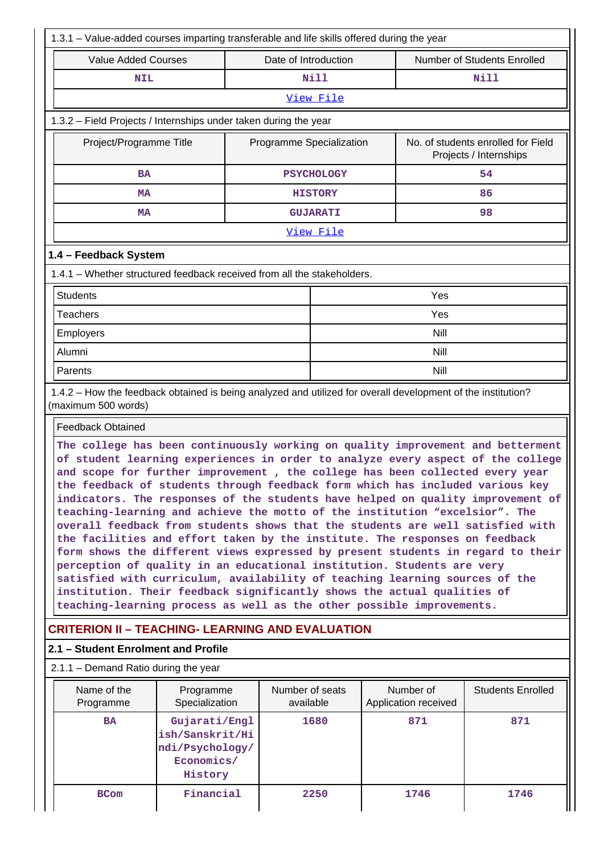|                                                                                                                                     | 1.3.1 – Value-added courses imparting transferable and life skills offered during the year                                                                                                                                                                                                                                                                                                                                                                                                                                                                                                                                                                                                                                                                                                                                                                                                                                                                                                                                                                             |                              |  |                                   |                                                              |  |  |
|-------------------------------------------------------------------------------------------------------------------------------------|------------------------------------------------------------------------------------------------------------------------------------------------------------------------------------------------------------------------------------------------------------------------------------------------------------------------------------------------------------------------------------------------------------------------------------------------------------------------------------------------------------------------------------------------------------------------------------------------------------------------------------------------------------------------------------------------------------------------------------------------------------------------------------------------------------------------------------------------------------------------------------------------------------------------------------------------------------------------------------------------------------------------------------------------------------------------|------------------------------|--|-----------------------------------|--------------------------------------------------------------|--|--|
| <b>Value Added Courses</b>                                                                                                          |                                                                                                                                                                                                                                                                                                                                                                                                                                                                                                                                                                                                                                                                                                                                                                                                                                                                                                                                                                                                                                                                        | Date of Introduction         |  |                                   | <b>Number of Students Enrolled</b>                           |  |  |
| <b>NIL</b>                                                                                                                          |                                                                                                                                                                                                                                                                                                                                                                                                                                                                                                                                                                                                                                                                                                                                                                                                                                                                                                                                                                                                                                                                        | Nill                         |  |                                   | Nill                                                         |  |  |
|                                                                                                                                     |                                                                                                                                                                                                                                                                                                                                                                                                                                                                                                                                                                                                                                                                                                                                                                                                                                                                                                                                                                                                                                                                        | View File                    |  |                                   |                                                              |  |  |
| 1.3.2 - Field Projects / Internships under taken during the year                                                                    |                                                                                                                                                                                                                                                                                                                                                                                                                                                                                                                                                                                                                                                                                                                                                                                                                                                                                                                                                                                                                                                                        |                              |  |                                   |                                                              |  |  |
| Project/Programme Title                                                                                                             |                                                                                                                                                                                                                                                                                                                                                                                                                                                                                                                                                                                                                                                                                                                                                                                                                                                                                                                                                                                                                                                                        | Programme Specialization     |  |                                   | No. of students enrolled for Field<br>Projects / Internships |  |  |
| <b>BA</b>                                                                                                                           |                                                                                                                                                                                                                                                                                                                                                                                                                                                                                                                                                                                                                                                                                                                                                                                                                                                                                                                                                                                                                                                                        | <b>PSYCHOLOGY</b>            |  |                                   | 54                                                           |  |  |
| MA                                                                                                                                  |                                                                                                                                                                                                                                                                                                                                                                                                                                                                                                                                                                                                                                                                                                                                                                                                                                                                                                                                                                                                                                                                        | <b>HISTORY</b>               |  |                                   | 86                                                           |  |  |
| MA                                                                                                                                  |                                                                                                                                                                                                                                                                                                                                                                                                                                                                                                                                                                                                                                                                                                                                                                                                                                                                                                                                                                                                                                                                        | <b>GUJARATI</b>              |  |                                   | 98                                                           |  |  |
|                                                                                                                                     |                                                                                                                                                                                                                                                                                                                                                                                                                                                                                                                                                                                                                                                                                                                                                                                                                                                                                                                                                                                                                                                                        | <u>View File</u>             |  |                                   |                                                              |  |  |
| 1.4 - Feedback System                                                                                                               |                                                                                                                                                                                                                                                                                                                                                                                                                                                                                                                                                                                                                                                                                                                                                                                                                                                                                                                                                                                                                                                                        |                              |  |                                   |                                                              |  |  |
| 1.4.1 – Whether structured feedback received from all the stakeholders.                                                             |                                                                                                                                                                                                                                                                                                                                                                                                                                                                                                                                                                                                                                                                                                                                                                                                                                                                                                                                                                                                                                                                        |                              |  |                                   |                                                              |  |  |
| <b>Students</b>                                                                                                                     |                                                                                                                                                                                                                                                                                                                                                                                                                                                                                                                                                                                                                                                                                                                                                                                                                                                                                                                                                                                                                                                                        |                              |  | Yes                               |                                                              |  |  |
| <b>Teachers</b>                                                                                                                     |                                                                                                                                                                                                                                                                                                                                                                                                                                                                                                                                                                                                                                                                                                                                                                                                                                                                                                                                                                                                                                                                        |                              |  | Yes                               |                                                              |  |  |
| Employers                                                                                                                           |                                                                                                                                                                                                                                                                                                                                                                                                                                                                                                                                                                                                                                                                                                                                                                                                                                                                                                                                                                                                                                                                        |                              |  | Nill                              |                                                              |  |  |
| Alumni                                                                                                                              |                                                                                                                                                                                                                                                                                                                                                                                                                                                                                                                                                                                                                                                                                                                                                                                                                                                                                                                                                                                                                                                                        |                              |  | <b>Nill</b>                       |                                                              |  |  |
| Parents                                                                                                                             |                                                                                                                                                                                                                                                                                                                                                                                                                                                                                                                                                                                                                                                                                                                                                                                                                                                                                                                                                                                                                                                                        |                              |  | Nill                              |                                                              |  |  |
| 1.4.2 – How the feedback obtained is being analyzed and utilized for overall development of the institution?<br>(maximum 500 words) |                                                                                                                                                                                                                                                                                                                                                                                                                                                                                                                                                                                                                                                                                                                                                                                                                                                                                                                                                                                                                                                                        |                              |  |                                   |                                                              |  |  |
| <b>Feedback Obtained</b>                                                                                                            |                                                                                                                                                                                                                                                                                                                                                                                                                                                                                                                                                                                                                                                                                                                                                                                                                                                                                                                                                                                                                                                                        |                              |  |                                   |                                                              |  |  |
|                                                                                                                                     | The college has been continuously working on quality improvement and betterment<br>of student learning experiences in order to analyze every aspect of the college<br>and scope for further improvement, the college has been collected every year<br>the feedback of students through feedback form which has included various key<br>indicators. The responses of the students have helped on quality improvement of<br>teaching-learning and achieve the motto of the institution "excelsior". The<br>overall feedback from students shows that the students are well satisfied with<br>the facilities and effort taken by the institute. The responses on feedback<br>form shows the different views expressed by present students in regard to their<br>perception of quality in an educational institution. Students are very<br>satisfied with curriculum, availability of teaching learning sources of the<br>institution. Their feedback significantly shows the actual qualities of<br>teaching-learning process as well as the other possible improvements. |                              |  |                                   |                                                              |  |  |
| <b>CRITERION II - TEACHING- LEARNING AND EVALUATION</b>                                                                             |                                                                                                                                                                                                                                                                                                                                                                                                                                                                                                                                                                                                                                                                                                                                                                                                                                                                                                                                                                                                                                                                        |                              |  |                                   |                                                              |  |  |
| 2.1 – Student Enrolment and Profile                                                                                                 |                                                                                                                                                                                                                                                                                                                                                                                                                                                                                                                                                                                                                                                                                                                                                                                                                                                                                                                                                                                                                                                                        |                              |  |                                   |                                                              |  |  |
| 2.1.1 - Demand Ratio during the year                                                                                                |                                                                                                                                                                                                                                                                                                                                                                                                                                                                                                                                                                                                                                                                                                                                                                                                                                                                                                                                                                                                                                                                        |                              |  |                                   |                                                              |  |  |
| Name of the<br>Programme                                                                                                            | Programme<br>Specialization                                                                                                                                                                                                                                                                                                                                                                                                                                                                                                                                                                                                                                                                                                                                                                                                                                                                                                                                                                                                                                            | Number of seats<br>available |  | Number of<br>Application received | <b>Students Enrolled</b>                                     |  |  |
| <b>BA</b>                                                                                                                           | Gujarati/Engl<br>ish/Sanskrit/Hi<br>ndi/Psychology/<br>Economics/<br>History                                                                                                                                                                                                                                                                                                                                                                                                                                                                                                                                                                                                                                                                                                                                                                                                                                                                                                                                                                                           | 1680                         |  | 871                               | 871                                                          |  |  |
| <b>BCom</b>                                                                                                                         | Financial                                                                                                                                                                                                                                                                                                                                                                                                                                                                                                                                                                                                                                                                                                                                                                                                                                                                                                                                                                                                                                                              | 2250                         |  | 1746                              | 1746                                                         |  |  |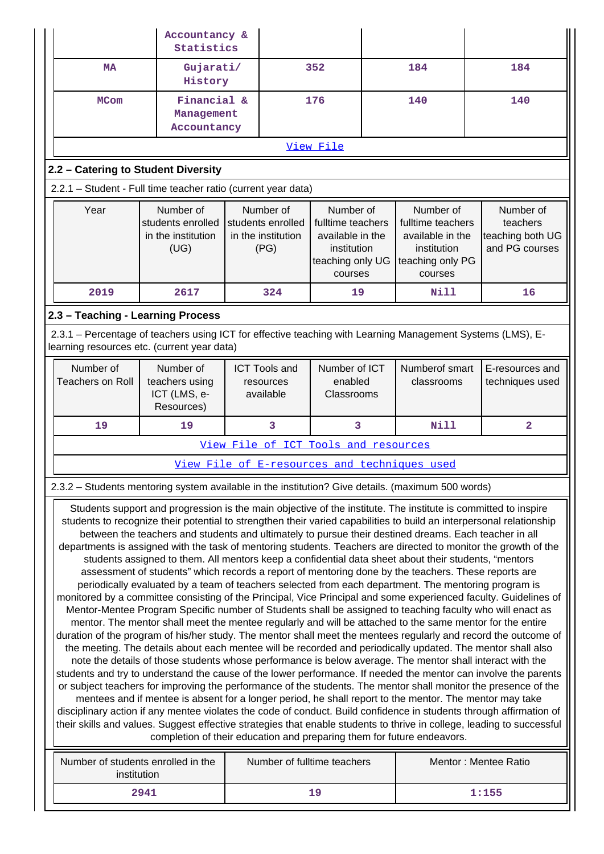|                                                                                                                                                                                                                                                                                                                                                                                                                                                                                                                                                                                                                                                                                                                                                                                                                                                                                                                                                                                                                                                                                                                                                                                                                                                                                                                                                                                                                                                                                                                                                                                                                                                                                                                                                                                                                                                                                                                                                                                                                                                                                                                                                                                                                                                                         | Accountancy &<br>Statistics                                  |  |                                                              |                                                                                                  |                               |                                                                                                  |                                                             |
|-------------------------------------------------------------------------------------------------------------------------------------------------------------------------------------------------------------------------------------------------------------------------------------------------------------------------------------------------------------------------------------------------------------------------------------------------------------------------------------------------------------------------------------------------------------------------------------------------------------------------------------------------------------------------------------------------------------------------------------------------------------------------------------------------------------------------------------------------------------------------------------------------------------------------------------------------------------------------------------------------------------------------------------------------------------------------------------------------------------------------------------------------------------------------------------------------------------------------------------------------------------------------------------------------------------------------------------------------------------------------------------------------------------------------------------------------------------------------------------------------------------------------------------------------------------------------------------------------------------------------------------------------------------------------------------------------------------------------------------------------------------------------------------------------------------------------------------------------------------------------------------------------------------------------------------------------------------------------------------------------------------------------------------------------------------------------------------------------------------------------------------------------------------------------------------------------------------------------------------------------------------------------|--------------------------------------------------------------|--|--------------------------------------------------------------|--------------------------------------------------------------------------------------------------|-------------------------------|--------------------------------------------------------------------------------------------------|-------------------------------------------------------------|
| <b>MA</b>                                                                                                                                                                                                                                                                                                                                                                                                                                                                                                                                                                                                                                                                                                                                                                                                                                                                                                                                                                                                                                                                                                                                                                                                                                                                                                                                                                                                                                                                                                                                                                                                                                                                                                                                                                                                                                                                                                                                                                                                                                                                                                                                                                                                                                                               | Gujarati/<br>History                                         |  |                                                              | 352                                                                                              |                               | 184                                                                                              | 184                                                         |
| <b>MCom</b>                                                                                                                                                                                                                                                                                                                                                                                                                                                                                                                                                                                                                                                                                                                                                                                                                                                                                                                                                                                                                                                                                                                                                                                                                                                                                                                                                                                                                                                                                                                                                                                                                                                                                                                                                                                                                                                                                                                                                                                                                                                                                                                                                                                                                                                             | Financial &<br>Management<br>Accountancy                     |  |                                                              | 176                                                                                              |                               | 140                                                                                              | 140                                                         |
|                                                                                                                                                                                                                                                                                                                                                                                                                                                                                                                                                                                                                                                                                                                                                                                                                                                                                                                                                                                                                                                                                                                                                                                                                                                                                                                                                                                                                                                                                                                                                                                                                                                                                                                                                                                                                                                                                                                                                                                                                                                                                                                                                                                                                                                                         |                                                              |  |                                                              | View File                                                                                        |                               |                                                                                                  |                                                             |
| 2.2 - Catering to Student Diversity                                                                                                                                                                                                                                                                                                                                                                                                                                                                                                                                                                                                                                                                                                                                                                                                                                                                                                                                                                                                                                                                                                                                                                                                                                                                                                                                                                                                                                                                                                                                                                                                                                                                                                                                                                                                                                                                                                                                                                                                                                                                                                                                                                                                                                     |                                                              |  |                                                              |                                                                                                  |                               |                                                                                                  |                                                             |
| 2.2.1 - Student - Full time teacher ratio (current year data)                                                                                                                                                                                                                                                                                                                                                                                                                                                                                                                                                                                                                                                                                                                                                                                                                                                                                                                                                                                                                                                                                                                                                                                                                                                                                                                                                                                                                                                                                                                                                                                                                                                                                                                                                                                                                                                                                                                                                                                                                                                                                                                                                                                                           |                                                              |  |                                                              |                                                                                                  |                               |                                                                                                  |                                                             |
| Year                                                                                                                                                                                                                                                                                                                                                                                                                                                                                                                                                                                                                                                                                                                                                                                                                                                                                                                                                                                                                                                                                                                                                                                                                                                                                                                                                                                                                                                                                                                                                                                                                                                                                                                                                                                                                                                                                                                                                                                                                                                                                                                                                                                                                                                                    | Number of<br>students enrolled<br>in the institution<br>(UG) |  | Number of<br>students enrolled<br>in the institution<br>(PG) | Number of<br>fulltime teachers<br>available in the<br>institution<br>teaching only UG<br>courses |                               | Number of<br>fulltime teachers<br>available in the<br>institution<br>teaching only PG<br>courses | Number of<br>teachers<br>teaching both UG<br>and PG courses |
| 2019                                                                                                                                                                                                                                                                                                                                                                                                                                                                                                                                                                                                                                                                                                                                                                                                                                                                                                                                                                                                                                                                                                                                                                                                                                                                                                                                                                                                                                                                                                                                                                                                                                                                                                                                                                                                                                                                                                                                                                                                                                                                                                                                                                                                                                                                    | 2617                                                         |  | 324                                                          | 19                                                                                               |                               | Nill                                                                                             | 16                                                          |
| 2.3 - Teaching - Learning Process                                                                                                                                                                                                                                                                                                                                                                                                                                                                                                                                                                                                                                                                                                                                                                                                                                                                                                                                                                                                                                                                                                                                                                                                                                                                                                                                                                                                                                                                                                                                                                                                                                                                                                                                                                                                                                                                                                                                                                                                                                                                                                                                                                                                                                       |                                                              |  |                                                              |                                                                                                  |                               |                                                                                                  |                                                             |
| 2.3.1 - Percentage of teachers using ICT for effective teaching with Learning Management Systems (LMS), E-<br>learning resources etc. (current year data)                                                                                                                                                                                                                                                                                                                                                                                                                                                                                                                                                                                                                                                                                                                                                                                                                                                                                                                                                                                                                                                                                                                                                                                                                                                                                                                                                                                                                                                                                                                                                                                                                                                                                                                                                                                                                                                                                                                                                                                                                                                                                                               |                                                              |  |                                                              |                                                                                                  |                               |                                                                                                  |                                                             |
| Number of<br><b>Teachers on Roll</b>                                                                                                                                                                                                                                                                                                                                                                                                                                                                                                                                                                                                                                                                                                                                                                                                                                                                                                                                                                                                                                                                                                                                                                                                                                                                                                                                                                                                                                                                                                                                                                                                                                                                                                                                                                                                                                                                                                                                                                                                                                                                                                                                                                                                                                    | Number of<br>teachers using<br>ICT (LMS, e-<br>Resources)    |  | <b>ICT Tools and</b><br>resources<br>available               | Number of ICT<br>enabled<br>Classrooms                                                           |                               | Numberof smart<br>classrooms                                                                     | E-resources and<br>techniques used                          |
| 19                                                                                                                                                                                                                                                                                                                                                                                                                                                                                                                                                                                                                                                                                                                                                                                                                                                                                                                                                                                                                                                                                                                                                                                                                                                                                                                                                                                                                                                                                                                                                                                                                                                                                                                                                                                                                                                                                                                                                                                                                                                                                                                                                                                                                                                                      | 19                                                           |  | 3                                                            |                                                                                                  | $\overline{3}$<br><b>Nill</b> |                                                                                                  | $\overline{a}$                                              |
|                                                                                                                                                                                                                                                                                                                                                                                                                                                                                                                                                                                                                                                                                                                                                                                                                                                                                                                                                                                                                                                                                                                                                                                                                                                                                                                                                                                                                                                                                                                                                                                                                                                                                                                                                                                                                                                                                                                                                                                                                                                                                                                                                                                                                                                                         |                                                              |  |                                                              | View File of ICT Tools and resources                                                             |                               |                                                                                                  |                                                             |
|                                                                                                                                                                                                                                                                                                                                                                                                                                                                                                                                                                                                                                                                                                                                                                                                                                                                                                                                                                                                                                                                                                                                                                                                                                                                                                                                                                                                                                                                                                                                                                                                                                                                                                                                                                                                                                                                                                                                                                                                                                                                                                                                                                                                                                                                         |                                                              |  |                                                              |                                                                                                  |                               | View File of E-resources and techniques used                                                     |                                                             |
|                                                                                                                                                                                                                                                                                                                                                                                                                                                                                                                                                                                                                                                                                                                                                                                                                                                                                                                                                                                                                                                                                                                                                                                                                                                                                                                                                                                                                                                                                                                                                                                                                                                                                                                                                                                                                                                                                                                                                                                                                                                                                                                                                                                                                                                                         |                                                              |  |                                                              |                                                                                                  |                               |                                                                                                  |                                                             |
| 2.3.2 – Students mentoring system available in the institution? Give details. (maximum 500 words)<br>Students support and progression is the main objective of the institute. The institute is committed to inspire<br>students to recognize their potential to strengthen their varied capabilities to build an interpersonal relationship<br>between the teachers and students and ultimately to pursue their destined dreams. Each teacher in all<br>departments is assigned with the task of mentoring students. Teachers are directed to monitor the growth of the<br>students assigned to them. All mentors keep a confidential data sheet about their students, "mentors<br>assessment of students" which records a report of mentoring done by the teachers. These reports are<br>periodically evaluated by a team of teachers selected from each department. The mentoring program is<br>monitored by a committee consisting of the Principal, Vice Principal and some experienced faculty. Guidelines of<br>Mentor-Mentee Program Specific number of Students shall be assigned to teaching faculty who will enact as<br>mentor. The mentor shall meet the mentee regularly and will be attached to the same mentor for the entire<br>duration of the program of his/her study. The mentor shall meet the mentees regularly and record the outcome of<br>the meeting. The details about each mentee will be recorded and periodically updated. The mentor shall also<br>note the details of those students whose performance is below average. The mentor shall interact with the<br>students and try to understand the cause of the lower performance. If needed the mentor can involve the parents<br>or subject teachers for improving the performance of the students. The mentor shall monitor the presence of the<br>mentees and if mentee is absent for a longer period, he shall report to the mentor. The mentor may take<br>disciplinary action if any mentee violates the code of conduct. Build confidence in students through affirmation of<br>their skills and values. Suggest effective strategies that enable students to thrive in college, leading to successful<br>completion of their education and preparing them for future endeavors. |                                                              |  |                                                              |                                                                                                  |                               |                                                                                                  |                                                             |
|                                                                                                                                                                                                                                                                                                                                                                                                                                                                                                                                                                                                                                                                                                                                                                                                                                                                                                                                                                                                                                                                                                                                                                                                                                                                                                                                                                                                                                                                                                                                                                                                                                                                                                                                                                                                                                                                                                                                                                                                                                                                                                                                                                                                                                                                         |                                                              |  |                                                              |                                                                                                  |                               |                                                                                                  |                                                             |
| institution                                                                                                                                                                                                                                                                                                                                                                                                                                                                                                                                                                                                                                                                                                                                                                                                                                                                                                                                                                                                                                                                                                                                                                                                                                                                                                                                                                                                                                                                                                                                                                                                                                                                                                                                                                                                                                                                                                                                                                                                                                                                                                                                                                                                                                                             | Number of students enrolled in the                           |  |                                                              | Number of fulltime teachers                                                                      |                               |                                                                                                  | Mentor: Mentee Ratio                                        |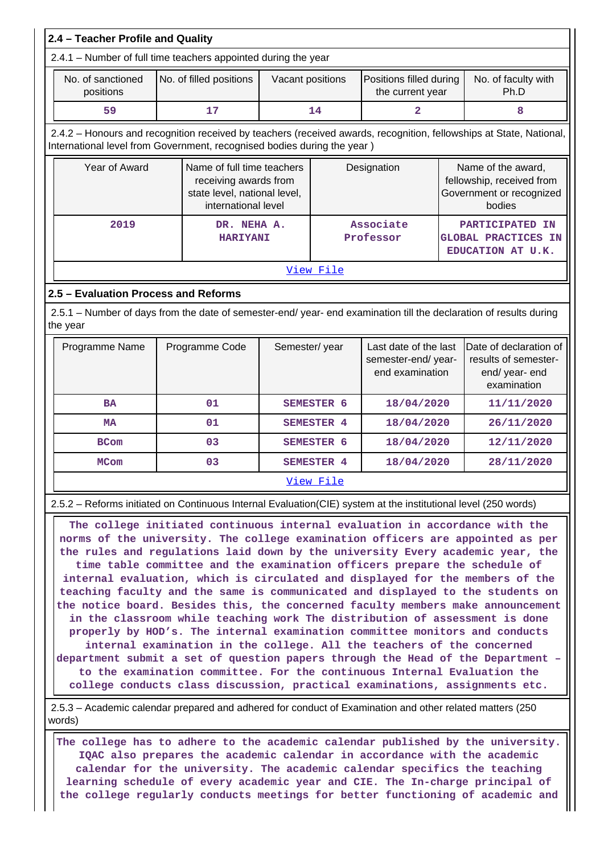| 2.4 - Teacher Profile and Quality                                                                                                                                                                                                                                                                                                                                                                                                                                                                                                                                                                                                                                                                                                                                                                                                                                                                                                                                                                                                                                                                                                                                                           |                                      |                                                                                                            |                  |                                                                                 |                                             |  |                                                                                       |
|---------------------------------------------------------------------------------------------------------------------------------------------------------------------------------------------------------------------------------------------------------------------------------------------------------------------------------------------------------------------------------------------------------------------------------------------------------------------------------------------------------------------------------------------------------------------------------------------------------------------------------------------------------------------------------------------------------------------------------------------------------------------------------------------------------------------------------------------------------------------------------------------------------------------------------------------------------------------------------------------------------------------------------------------------------------------------------------------------------------------------------------------------------------------------------------------|--------------------------------------|------------------------------------------------------------------------------------------------------------|------------------|---------------------------------------------------------------------------------|---------------------------------------------|--|---------------------------------------------------------------------------------------|
| 2.4.1 - Number of full time teachers appointed during the year                                                                                                                                                                                                                                                                                                                                                                                                                                                                                                                                                                                                                                                                                                                                                                                                                                                                                                                                                                                                                                                                                                                              |                                      |                                                                                                            |                  |                                                                                 |                                             |  |                                                                                       |
| No. of sanctioned<br>positions                                                                                                                                                                                                                                                                                                                                                                                                                                                                                                                                                                                                                                                                                                                                                                                                                                                                                                                                                                                                                                                                                                                                                              |                                      | No. of filled positions                                                                                    | Vacant positions |                                                                                 | Positions filled during<br>the current year |  | No. of faculty with<br>Ph.D                                                           |
| 59                                                                                                                                                                                                                                                                                                                                                                                                                                                                                                                                                                                                                                                                                                                                                                                                                                                                                                                                                                                                                                                                                                                                                                                          |                                      | 17                                                                                                         |                  | 14                                                                              | $\overline{\mathbf{2}}$                     |  | 8                                                                                     |
| 2.4.2 - Honours and recognition received by teachers (received awards, recognition, fellowships at State, National,<br>International level from Government, recognised bodies during the year)                                                                                                                                                                                                                                                                                                                                                                                                                                                                                                                                                                                                                                                                                                                                                                                                                                                                                                                                                                                              |                                      |                                                                                                            |                  |                                                                                 |                                             |  |                                                                                       |
| Year of Award                                                                                                                                                                                                                                                                                                                                                                                                                                                                                                                                                                                                                                                                                                                                                                                                                                                                                                                                                                                                                                                                                                                                                                               |                                      | Name of full time teachers<br>receiving awards from<br>state level, national level,<br>international level |                  |                                                                                 | Designation                                 |  | Name of the award,<br>fellowship, received from<br>Government or recognized<br>bodies |
| 2019                                                                                                                                                                                                                                                                                                                                                                                                                                                                                                                                                                                                                                                                                                                                                                                                                                                                                                                                                                                                                                                                                                                                                                                        |                                      | DR. NEHA A.<br><b>HARIYANI</b>                                                                             |                  |                                                                                 | Associate<br>Professor                      |  | PARTICIPATED IN<br><b>GLOBAL PRACTICES IN</b><br>EDUCATION AT U.K.                    |
|                                                                                                                                                                                                                                                                                                                                                                                                                                                                                                                                                                                                                                                                                                                                                                                                                                                                                                                                                                                                                                                                                                                                                                                             |                                      |                                                                                                            |                  | View File                                                                       |                                             |  |                                                                                       |
|                                                                                                                                                                                                                                                                                                                                                                                                                                                                                                                                                                                                                                                                                                                                                                                                                                                                                                                                                                                                                                                                                                                                                                                             | 2.5 - Evaluation Process and Reforms |                                                                                                            |                  |                                                                                 |                                             |  |                                                                                       |
| 2.5.1 - Number of days from the date of semester-end/ year- end examination till the declaration of results during<br>the year                                                                                                                                                                                                                                                                                                                                                                                                                                                                                                                                                                                                                                                                                                                                                                                                                                                                                                                                                                                                                                                              |                                      |                                                                                                            |                  |                                                                                 |                                             |  |                                                                                       |
| Programme Name                                                                                                                                                                                                                                                                                                                                                                                                                                                                                                                                                                                                                                                                                                                                                                                                                                                                                                                                                                                                                                                                                                                                                                              |                                      | Programme Code                                                                                             |                  | Semester/year<br>Last date of the last<br>semester-end/year-<br>end examination |                                             |  | Date of declaration of<br>results of semester-<br>end/ year- end<br>examination       |
| <b>BA</b>                                                                                                                                                                                                                                                                                                                                                                                                                                                                                                                                                                                                                                                                                                                                                                                                                                                                                                                                                                                                                                                                                                                                                                                   |                                      | 01                                                                                                         |                  | <b>SEMESTER 6</b>                                                               | 18/04/2020                                  |  | 11/11/2020                                                                            |
| <b>MA</b>                                                                                                                                                                                                                                                                                                                                                                                                                                                                                                                                                                                                                                                                                                                                                                                                                                                                                                                                                                                                                                                                                                                                                                                   |                                      | 01                                                                                                         |                  | <b>SEMESTER 4</b>                                                               | 18/04/2020                                  |  | 26/11/2020                                                                            |
| <b>BCom</b>                                                                                                                                                                                                                                                                                                                                                                                                                                                                                                                                                                                                                                                                                                                                                                                                                                                                                                                                                                                                                                                                                                                                                                                 |                                      | 03                                                                                                         |                  | <b>SEMESTER 6</b>                                                               | 18/04/2020                                  |  | 12/11/2020                                                                            |
| <b>MCom</b>                                                                                                                                                                                                                                                                                                                                                                                                                                                                                                                                                                                                                                                                                                                                                                                                                                                                                                                                                                                                                                                                                                                                                                                 |                                      | 03                                                                                                         |                  | SEMESTER 4                                                                      | 18/04/2020                                  |  | 28/11/2020                                                                            |
|                                                                                                                                                                                                                                                                                                                                                                                                                                                                                                                                                                                                                                                                                                                                                                                                                                                                                                                                                                                                                                                                                                                                                                                             |                                      |                                                                                                            |                  | View File                                                                       |                                             |  |                                                                                       |
|                                                                                                                                                                                                                                                                                                                                                                                                                                                                                                                                                                                                                                                                                                                                                                                                                                                                                                                                                                                                                                                                                                                                                                                             |                                      |                                                                                                            |                  |                                                                                 |                                             |  |                                                                                       |
| 2.5.2 – Reforms initiated on Continuous Internal Evaluation (CIE) system at the institutional level (250 words)<br>The college initiated continuous internal evaluation in accordance with the<br>norms of the university. The college examination officers are appointed as per<br>the rules and regulations laid down by the university Every academic year, the<br>time table committee and the examination officers prepare the schedule of<br>internal evaluation, which is circulated and displayed for the members of the<br>teaching faculty and the same is communicated and displayed to the students on<br>the notice board. Besides this, the concerned faculty members make announcement<br>in the classroom while teaching work The distribution of assessment is done<br>properly by HOD's. The internal examination committee monitors and conducts<br>internal examination in the college. All the teachers of the concerned<br>department submit a set of question papers through the Head of the Department -<br>to the examination committee. For the continuous Internal Evaluation the<br>college conducts class discussion, practical examinations, assignments etc. |                                      |                                                                                                            |                  |                                                                                 |                                             |  |                                                                                       |

 2.5.3 – Academic calendar prepared and adhered for conduct of Examination and other related matters (250 words)

 **The college has to adhere to the academic calendar published by the university. IQAC also prepares the academic calendar in accordance with the academic calendar for the university. The academic calendar specifics the teaching learning schedule of every academic year and CIE. The In-charge principal of the college regularly conducts meetings for better functioning of academic and**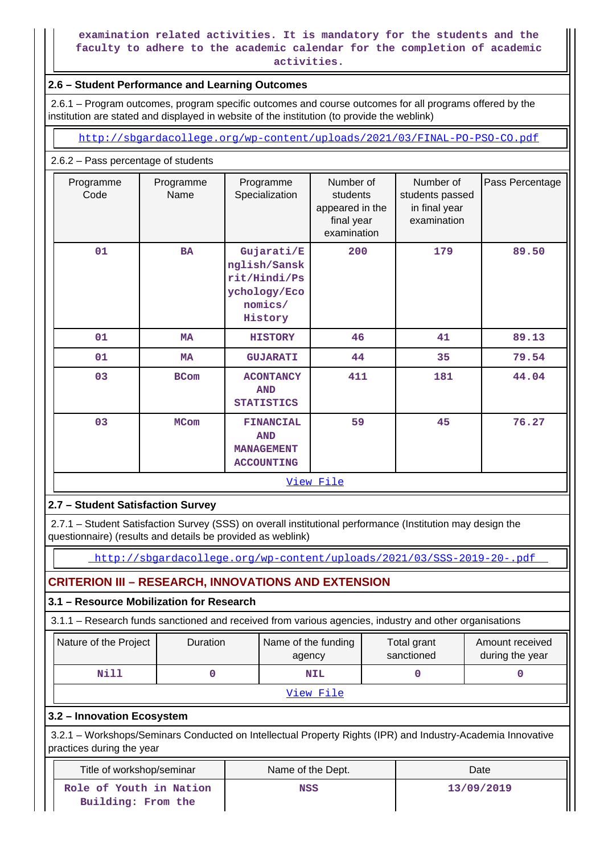#### **examination related activities. It is mandatory for the students and the faculty to adhere to the academic calendar for the completion of academic activities.**

# **2.6 – Student Performance and Learning Outcomes**

 2.6.1 – Program outcomes, program specific outcomes and course outcomes for all programs offered by the institution are stated and displayed in website of the institution (to provide the weblink)

<http://sbgardacollege.org/wp-content/uploads/2021/03/FINAL-PO-PSO-CO.pdf>

#### 2.6.2 – Pass percentage of students

| Programme<br>Code | Programme<br>Name | Programme<br>Specialization                                                      | Number of<br>students<br>appeared in the<br>final year<br>examination | Number of<br>students passed<br>in final year<br>examination | Pass Percentage |
|-------------------|-------------------|----------------------------------------------------------------------------------|-----------------------------------------------------------------------|--------------------------------------------------------------|-----------------|
| 01                | <b>BA</b>         | Gujarati/E<br>nglish/Sansk<br>rit/Hindi/Ps<br>ychology/Eco<br>nomics/<br>History | 200                                                                   | 179                                                          | 89.50           |
| 01                | <b>MA</b>         | <b>HISTORY</b>                                                                   | 46                                                                    | 41                                                           | 89.13           |
| 01                | <b>MA</b>         | <b>GUJARATI</b>                                                                  | 44                                                                    | 35                                                           | 79.54           |
| 03                | <b>BCom</b>       | <b>ACONTANCY</b><br><b>AND</b><br><b>STATISTICS</b>                              | 411                                                                   | 181                                                          | 44.04           |
| 03                | <b>MCom</b>       | <b>FINANCIAL</b><br><b>AND</b><br><b>MANAGEMENT</b><br><b>ACCOUNTING</b>         | 59                                                                    | 45                                                           | 76.27           |
|                   |                   |                                                                                  | View File                                                             |                                                              |                 |

### **2.7 – Student Satisfaction Survey**

 2.7.1 – Student Satisfaction Survey (SSS) on overall institutional performance (Institution may design the questionnaire) (results and details be provided as weblink)

<http://sbgardacollege.org/wp-content/uploads/2021/03/SSS-2019-20-.pdf>

# **CRITERION III – RESEARCH, INNOVATIONS AND EXTENSION**

### **3.1 – Resource Mobilization for Research**

3.1.1 – Research funds sanctioned and received from various agencies, industry and other organisations

| Nature of the Project | Duration | Name of the funding<br>agency | Total grant<br>sanctioned | Amount received<br>during the year |  |
|-----------------------|----------|-------------------------------|---------------------------|------------------------------------|--|
| Nill                  |          | <b>NIL</b>                    |                           |                                    |  |
| View File             |          |                               |                           |                                    |  |

### **3.2 – Innovation Ecosystem**

 3.2.1 – Workshops/Seminars Conducted on Intellectual Property Rights (IPR) and Industry-Academia Innovative practices during the year

| Title of workshop/seminar                     | Name of the Dept. | Date       |
|-----------------------------------------------|-------------------|------------|
| Role of Youth in Nation<br>Building: From the | <b>NSS</b>        | 13/09/2019 |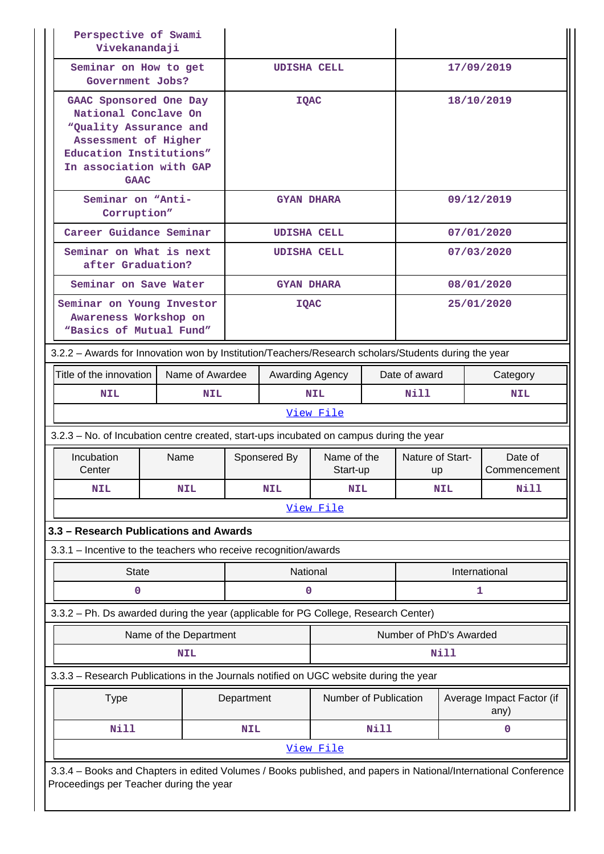| Perspective of Swami<br>Vivekanandaji                                                                |                                                                                                                                                        |                                         |                    |                        |                           |                         |                                   |  |
|------------------------------------------------------------------------------------------------------|--------------------------------------------------------------------------------------------------------------------------------------------------------|-----------------------------------------|--------------------|------------------------|---------------------------|-------------------------|-----------------------------------|--|
| Seminar on How to get<br>Government Jobs?                                                            |                                                                                                                                                        | <b>UDISHA CELL</b>                      |                    |                        | 17/09/2019                |                         |                                   |  |
| <b>GAAC</b>                                                                                          | GAAC Sponsored One Day<br>National Conclave On<br>"Quality Assurance and<br>Assessment of Higher<br>Education Institutions"<br>In association with GAP |                                         |                    |                        |                           | 18/10/2019              |                                   |  |
| Seminar on "Anti-<br>Corruption"                                                                     |                                                                                                                                                        |                                         | <b>GYAN DHARA</b>  |                        |                           | 09/12/2019              |                                   |  |
| Career Guidance Seminar                                                                              |                                                                                                                                                        |                                         | <b>UDISHA CELL</b> |                        |                           | 07/01/2020              |                                   |  |
| Seminar on What is next<br>after Graduation?                                                         |                                                                                                                                                        |                                         | <b>UDISHA CELL</b> |                        |                           | 07/03/2020              |                                   |  |
| Seminar on Save Water                                                                                |                                                                                                                                                        |                                         | <b>GYAN DHARA</b>  |                        |                           | 08/01/2020              |                                   |  |
| Seminar on Young Investor<br>Awareness Workshop on<br>"Basics of Mutual Fund"                        |                                                                                                                                                        |                                         | <b>IQAC</b>        |                        |                           |                         | 25/01/2020                        |  |
| 3.2.2 - Awards for Innovation won by Institution/Teachers/Research scholars/Students during the year |                                                                                                                                                        |                                         |                    |                        |                           |                         |                                   |  |
| Title of the innovation                                                                              | Name of Awardee                                                                                                                                        | Awarding Agency                         |                    |                        | Date of award<br>Category |                         |                                   |  |
| <b>NIL</b>                                                                                           | <b>NIL</b>                                                                                                                                             | <b>NIL</b>                              |                    |                        | Nill                      |                         | <b>NIL</b>                        |  |
|                                                                                                      |                                                                                                                                                        |                                         | View File          |                        |                           |                         |                                   |  |
| 3.2.3 – No. of Incubation centre created, start-ups incubated on campus during the year              |                                                                                                                                                        |                                         |                    |                        |                           |                         |                                   |  |
| Incubation<br>Center                                                                                 | Name                                                                                                                                                   | Name of the<br>Sponsered By<br>Start-up |                    | Nature of Start-<br>up |                           | Date of<br>Commencement |                                   |  |
| <b>NIL</b>                                                                                           | <b>NIL</b>                                                                                                                                             | <b>NIL</b>                              | <b>NIL</b>         | <b>NIL</b>             |                           | <b>Nill</b>             |                                   |  |
|                                                                                                      |                                                                                                                                                        |                                         | View File          |                        |                           |                         |                                   |  |
| 3.3 - Research Publications and Awards                                                               |                                                                                                                                                        |                                         |                    |                        |                           |                         |                                   |  |
| 3.3.1 – Incentive to the teachers who receive recognition/awards                                     |                                                                                                                                                        |                                         |                    |                        |                           |                         |                                   |  |
| <b>State</b>                                                                                         |                                                                                                                                                        |                                         | National           |                        | International             |                         |                                   |  |
| 0                                                                                                    |                                                                                                                                                        |                                         | 0                  |                        | 1                         |                         |                                   |  |
| 3.3.2 - Ph. Ds awarded during the year (applicable for PG College, Research Center)                  |                                                                                                                                                        |                                         |                    |                        |                           |                         |                                   |  |
|                                                                                                      | Name of the Department                                                                                                                                 |                                         |                    |                        | Number of PhD's Awarded   |                         |                                   |  |
|                                                                                                      | <b>NIL</b>                                                                                                                                             |                                         |                    |                        | Nill                      |                         |                                   |  |
| 3.3.3 - Research Publications in the Journals notified on UGC website during the year                |                                                                                                                                                        |                                         |                    |                        |                           |                         |                                   |  |
| <b>Type</b>                                                                                          |                                                                                                                                                        | Number of Publication<br>Department     |                    |                        |                           |                         | Average Impact Factor (if<br>any) |  |
|                                                                                                      |                                                                                                                                                        |                                         |                    |                        |                           |                         |                                   |  |
| <b>Nill</b><br>Nill<br>0<br><b>NIL</b>                                                               |                                                                                                                                                        |                                         |                    |                        |                           |                         |                                   |  |
|                                                                                                      |                                                                                                                                                        |                                         | View File          |                        |                           |                         |                                   |  |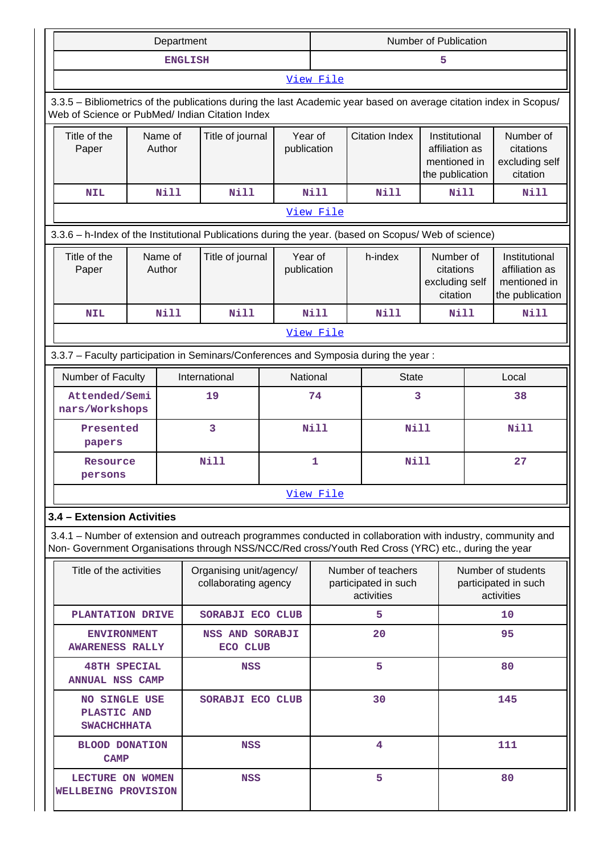| Department                                                                                                                                                                                                         |  |                   |                                                 |                        |                                                          | <b>Number of Publication</b> |                                                                    |       |                                                                    |  |
|--------------------------------------------------------------------------------------------------------------------------------------------------------------------------------------------------------------------|--|-------------------|-------------------------------------------------|------------------------|----------------------------------------------------------|------------------------------|--------------------------------------------------------------------|-------|--------------------------------------------------------------------|--|
| <b>ENGLISH</b>                                                                                                                                                                                                     |  |                   |                                                 |                        |                                                          | 5                            |                                                                    |       |                                                                    |  |
| View File                                                                                                                                                                                                          |  |                   |                                                 |                        |                                                          |                              |                                                                    |       |                                                                    |  |
| 3.3.5 - Bibliometrics of the publications during the last Academic year based on average citation index in Scopus/<br>Web of Science or PubMed/ Indian Citation Index                                              |  |                   |                                                 |                        |                                                          |                              |                                                                    |       |                                                                    |  |
| Title of the<br>Paper                                                                                                                                                                                              |  | Name of<br>Author | Title of journal                                |                        | Year of<br>publication                                   | <b>Citation Index</b>        | Institutional<br>affiliation as<br>mentioned in<br>the publication |       | Number of<br>citations<br>excluding self<br>citation               |  |
| <b>NIL</b>                                                                                                                                                                                                         |  | <b>Nill</b>       | <b>Nill</b>                                     |                        | <b>Nill</b>                                              | <b>Nill</b>                  | <b>Nill</b>                                                        |       | Nill                                                               |  |
|                                                                                                                                                                                                                    |  |                   |                                                 |                        | View File                                                |                              |                                                                    |       |                                                                    |  |
| 3.3.6 - h-Index of the Institutional Publications during the year. (based on Scopus/ Web of science)                                                                                                               |  |                   |                                                 |                        |                                                          |                              |                                                                    |       |                                                                    |  |
| Title of the<br>Paper                                                                                                                                                                                              |  | Name of<br>Author | Title of journal                                | Year of<br>publication |                                                          | h-index                      | Number of<br>citations<br>excluding self<br>citation               |       | Institutional<br>affiliation as<br>mentioned in<br>the publication |  |
| <b>NIL</b>                                                                                                                                                                                                         |  | <b>Nill</b>       | <b>Nill</b>                                     |                        | Nill                                                     | Nill                         | Nill                                                               |       | <b>Nill</b>                                                        |  |
| View File                                                                                                                                                                                                          |  |                   |                                                 |                        |                                                          |                              |                                                                    |       |                                                                    |  |
| 3.3.7 - Faculty participation in Seminars/Conferences and Symposia during the year:                                                                                                                                |  |                   |                                                 |                        |                                                          |                              |                                                                    |       |                                                                    |  |
| Number of Faculty                                                                                                                                                                                                  |  |                   | International<br>National                       |                        |                                                          | <b>State</b>                 |                                                                    | Local |                                                                    |  |
| Attended/Semi<br>nars/Workshops                                                                                                                                                                                    |  |                   | 19                                              |                        | 74                                                       | 3                            |                                                                    | 38    |                                                                    |  |
| Presented<br>papers                                                                                                                                                                                                |  |                   | 3                                               |                        | <b>Nill</b>                                              |                              | <b>Nill</b>                                                        |       | <b>Nill</b>                                                        |  |
| Resource<br>persons                                                                                                                                                                                                |  |                   | <b>Nill</b>                                     |                        | $\mathbf{1}$                                             |                              | <b>Nill</b>                                                        |       | 27                                                                 |  |
|                                                                                                                                                                                                                    |  |                   |                                                 |                        | View File                                                |                              |                                                                    |       |                                                                    |  |
| 3.4 - Extension Activities                                                                                                                                                                                         |  |                   |                                                 |                        |                                                          |                              |                                                                    |       |                                                                    |  |
| 3.4.1 – Number of extension and outreach programmes conducted in collaboration with industry, community and<br>Non- Government Organisations through NSS/NCC/Red cross/Youth Red Cross (YRC) etc., during the year |  |                   |                                                 |                        |                                                          |                              |                                                                    |       |                                                                    |  |
| Title of the activities                                                                                                                                                                                            |  |                   | Organising unit/agency/<br>collaborating agency |                        | Number of teachers<br>participated in such<br>activities |                              |                                                                    |       | Number of students<br>participated in such<br>activities           |  |
| PLANTATION DRIVE                                                                                                                                                                                                   |  |                   | SORABJI ECO CLUB                                |                        |                                                          | 5.                           |                                                                    |       | 10                                                                 |  |
| <b>ENVIRONMENT</b><br><b>AWARENESS RALLY</b>                                                                                                                                                                       |  |                   | NSS AND SORABJI<br><b>ECO CLUB</b>              |                        |                                                          | 20                           |                                                                    |       | 95                                                                 |  |
| <b>48TH SPECIAL</b><br><b>ANNUAL NSS CAMP</b>                                                                                                                                                                      |  |                   | <b>NSS</b>                                      |                        |                                                          | 5                            |                                                                    |       | 80                                                                 |  |
| <b>NO SINGLE USE</b><br>PLASTIC AND<br><b>SWACHCHHATA</b>                                                                                                                                                          |  | SORABJI ECO CLUB  |                                                 |                        | 30                                                       |                              |                                                                    | 145   |                                                                    |  |
| <b>BLOOD DONATION</b><br><b>CAMP</b>                                                                                                                                                                               |  |                   | <b>NSS</b>                                      |                        |                                                          | 4                            |                                                                    |       | 111                                                                |  |
| LECTURE ON WOMEN<br>WELLBEING PROVISION                                                                                                                                                                            |  |                   | <b>NSS</b>                                      |                        |                                                          | 5                            |                                                                    |       | 80                                                                 |  |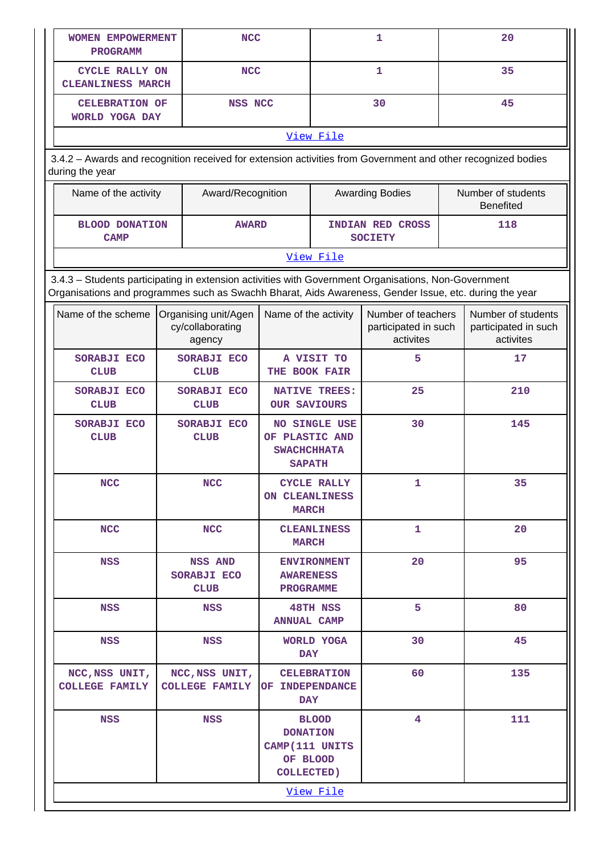| <b>WOMEN EMPOWERMENT</b><br><b>PROGRAMM</b>                                                                                                                                                                    |                                                                                                              | <b>NCC</b>                                                                         |                                                                   | 1                                                       |    | 20                                                      |  |  |  |  |  |  |  |
|----------------------------------------------------------------------------------------------------------------------------------------------------------------------------------------------------------------|--------------------------------------------------------------------------------------------------------------|------------------------------------------------------------------------------------|-------------------------------------------------------------------|---------------------------------------------------------|----|---------------------------------------------------------|--|--|--|--|--|--|--|
| <b>CYCLE RALLY ON</b><br><b>CLEANLINESS MARCH</b>                                                                                                                                                              |                                                                                                              | <b>NCC</b>                                                                         |                                                                   | 1                                                       |    | 35                                                      |  |  |  |  |  |  |  |
| <b>CELEBRATION OF</b><br>WORLD YOGA DAY                                                                                                                                                                        | NSS NCC                                                                                                      |                                                                                    |                                                                   | 30                                                      | 45 |                                                         |  |  |  |  |  |  |  |
| View File                                                                                                                                                                                                      |                                                                                                              |                                                                                    |                                                                   |                                                         |    |                                                         |  |  |  |  |  |  |  |
| during the year                                                                                                                                                                                                | 3.4.2 - Awards and recognition received for extension activities from Government and other recognized bodies |                                                                                    |                                                                   |                                                         |    |                                                         |  |  |  |  |  |  |  |
| Name of the activity                                                                                                                                                                                           | Award/Recognition                                                                                            |                                                                                    |                                                                   | <b>Awarding Bodies</b>                                  |    | Number of students<br><b>Benefited</b>                  |  |  |  |  |  |  |  |
| <b>BLOOD DONATION</b><br><b>CAMP</b>                                                                                                                                                                           | <b>AWARD</b>                                                                                                 |                                                                                    |                                                                   | <b>INDIAN RED CROSS</b><br><b>SOCIETY</b>               |    | 118                                                     |  |  |  |  |  |  |  |
|                                                                                                                                                                                                                |                                                                                                              |                                                                                    | View File                                                         |                                                         |    |                                                         |  |  |  |  |  |  |  |
| 3.4.3 - Students participating in extension activities with Government Organisations, Non-Government<br>Organisations and programmes such as Swachh Bharat, Aids Awareness, Gender Issue, etc. during the year |                                                                                                              |                                                                                    |                                                                   |                                                         |    |                                                         |  |  |  |  |  |  |  |
| Name of the scheme                                                                                                                                                                                             | Organising unit/Agen<br>cy/collaborating<br>agency                                                           | Name of the activity                                                               |                                                                   | Number of teachers<br>participated in such<br>activites |    | Number of students<br>participated in such<br>activites |  |  |  |  |  |  |  |
| SORABJI ECO<br><b>CLUB</b>                                                                                                                                                                                     | SORABJI ECO<br><b>CLUB</b>                                                                                   | THE BOOK FAIR                                                                      | A VISIT TO                                                        | 5                                                       |    | 17                                                      |  |  |  |  |  |  |  |
| SORABJI ECO<br><b>CLUB</b>                                                                                                                                                                                     | SORABJI ECO<br><b>CLUB</b>                                                                                   | <b>OUR SAVIOURS</b>                                                                | <b>NATIVE TREES:</b>                                              | 25                                                      |    | 210                                                     |  |  |  |  |  |  |  |
| SORABJI ECO<br><b>CLUB</b>                                                                                                                                                                                     | SORABJI ECO<br><b>CLUB</b>                                                                                   | OF PLASTIC AND                                                                     | 30<br><b>NO SINGLE USE</b><br><b>SWACHCHHATA</b><br><b>SAPATH</b> |                                                         |    | 145                                                     |  |  |  |  |  |  |  |
| <b>NCC</b>                                                                                                                                                                                                     | NCC                                                                                                          | ON CLEANLINESS<br><b>MARCH</b>                                                     | <b>CYCLE RALLY</b>                                                | ı                                                       |    | 35                                                      |  |  |  |  |  |  |  |
| <b>NCC</b>                                                                                                                                                                                                     | <b>NCC</b>                                                                                                   |                                                                                    | <b>CLEANLINESS</b><br><b>MARCH</b>                                | 1                                                       |    | 20                                                      |  |  |  |  |  |  |  |
| <b>NSS</b>                                                                                                                                                                                                     | NSS AND<br>SORABJI ECO<br><b>CLUB</b>                                                                        | <b>AWARENESS</b><br>PROGRAMME                                                      | <b>ENVIRONMENT</b>                                                | 20                                                      |    | 95                                                      |  |  |  |  |  |  |  |
| <b>NSS</b>                                                                                                                                                                                                     | <b>NSS</b>                                                                                                   | <b>ANNUAL CAMP</b>                                                                 | <b>48TH NSS</b>                                                   | 5                                                       |    | 80                                                      |  |  |  |  |  |  |  |
| <b>NSS</b>                                                                                                                                                                                                     | <b>NSS</b>                                                                                                   | <b>DAY</b>                                                                         | WORLD YOGA                                                        | 30                                                      |    | 45                                                      |  |  |  |  |  |  |  |
| NCC, NSS UNIT,<br><b>COLLEGE FAMILY</b>                                                                                                                                                                        | NCC, NSS UNIT,<br><b>COLLEGE FAMILY</b>                                                                      | OF INDEPENDANCE<br>DAY                                                             | <b>CELEBRATION</b>                                                | 60                                                      |    | 135                                                     |  |  |  |  |  |  |  |
| <b>NSS</b><br><b>NSS</b>                                                                                                                                                                                       |                                                                                                              | <b>BLOOD</b><br><b>DONATION</b><br>CAMP(111 UNITS<br>OF BLOOD<br><b>COLLECTED)</b> |                                                                   | 4                                                       |    | 111                                                     |  |  |  |  |  |  |  |
|                                                                                                                                                                                                                |                                                                                                              |                                                                                    | View File                                                         |                                                         |    |                                                         |  |  |  |  |  |  |  |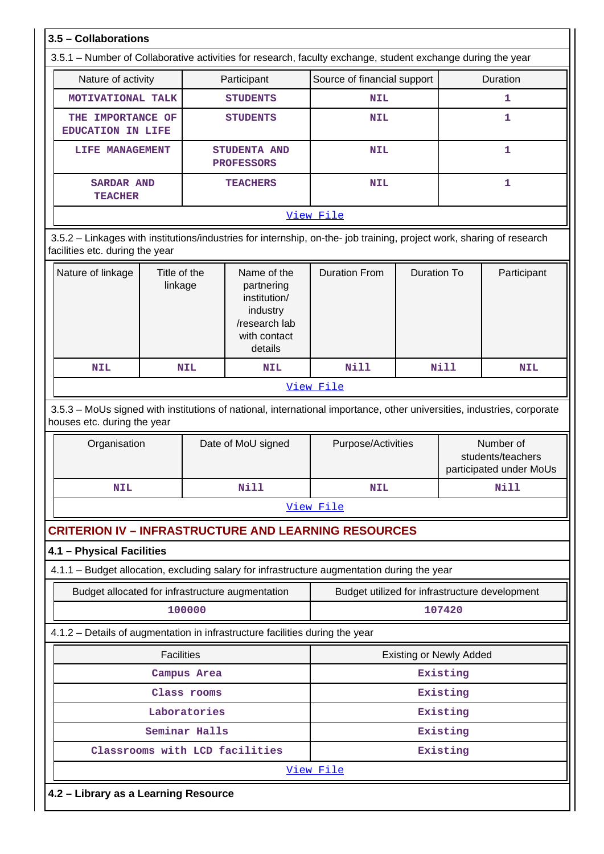# **3.5 – Collaborations**

| 3.5.1 - Number of Collaborative activities for research, faculty exchange, student exchange during the year |                                   |                             |                 |  |  |  |  |  |  |
|-------------------------------------------------------------------------------------------------------------|-----------------------------------|-----------------------------|-----------------|--|--|--|--|--|--|
| Nature of activity                                                                                          | Participant                       | Source of financial support | <b>Duration</b> |  |  |  |  |  |  |
| MOTIVATIONAL TALK                                                                                           | <b>STUDENTS</b>                   | <b>NIL</b>                  |                 |  |  |  |  |  |  |
| THE IMPORTANCE OF<br><b>EDUCATION IN LIFE</b>                                                               | <b>STUDENTS</b>                   | <b>NIL</b>                  |                 |  |  |  |  |  |  |
| <b>LIFE MANAGEMENT</b>                                                                                      | STUDENTA AND<br><b>PROFESSORS</b> | <b>NIL</b>                  |                 |  |  |  |  |  |  |
| <b>SARDAR AND</b><br><b>TEACHER</b>                                                                         | <b>TEACHERS</b>                   | <b>NIL</b>                  |                 |  |  |  |  |  |  |
|                                                                                                             |                                   | View File                   |                 |  |  |  |  |  |  |

 3.5.2 – Linkages with institutions/industries for internship, on-the- job training, project work, sharing of research facilities etc. during the year

| Nature of linkage | Title of the<br>linkage | Name of the<br>partnering<br>institution/<br>industry<br>/research lab<br>with contact<br>details | Duration From | Duration To | Participant |  |  |  |  |  |
|-------------------|-------------------------|---------------------------------------------------------------------------------------------------|---------------|-------------|-------------|--|--|--|--|--|
| NIL               | <b>NIL</b>              | <b>NIL</b>                                                                                        | Nill          | Nill        | <b>NIL</b>  |  |  |  |  |  |
| View File         |                         |                                                                                                   |               |             |             |  |  |  |  |  |

 3.5.3 – MoUs signed with institutions of national, international importance, other universities, industries, corporate houses etc. during the year

| Organisation | Date of MoU signed | Purpose/Activities | Number of<br>students/teachers<br>participated under MoUs |
|--------------|--------------------|--------------------|-----------------------------------------------------------|
| NIL          | Nill               | NIL                | Nill                                                      |

[View File](https://assessmentonline.naac.gov.in/public/Postacc/MoU/11145_MoU_1622783882.xlsx)

# **CRITERION IV – INFRASTRUCTURE AND LEARNING RESOURCES**

### **4.1 – Physical Facilities**

4.1.1 – Budget allocation, excluding salary for infrastructure augmentation during the year

| Budget allocated for infrastructure augmentation | Budget utilized for infrastructure development |
|--------------------------------------------------|------------------------------------------------|
| 100000                                           | 107420                                         |

4.1.2 – Details of augmentation in infrastructure facilities during the year

| <b>Facilities</b>                    | <b>Existing or Newly Added</b> |  |  |  |  |  |  |  |
|--------------------------------------|--------------------------------|--|--|--|--|--|--|--|
| Campus Area                          | Existing                       |  |  |  |  |  |  |  |
| Class rooms                          | Existing                       |  |  |  |  |  |  |  |
| Laboratories                         | Existing                       |  |  |  |  |  |  |  |
| Seminar Halls                        | Existing                       |  |  |  |  |  |  |  |
| Classrooms with LCD facilities       | Existing                       |  |  |  |  |  |  |  |
| View File                            |                                |  |  |  |  |  |  |  |
| 4.2 - Library as a Learning Resource |                                |  |  |  |  |  |  |  |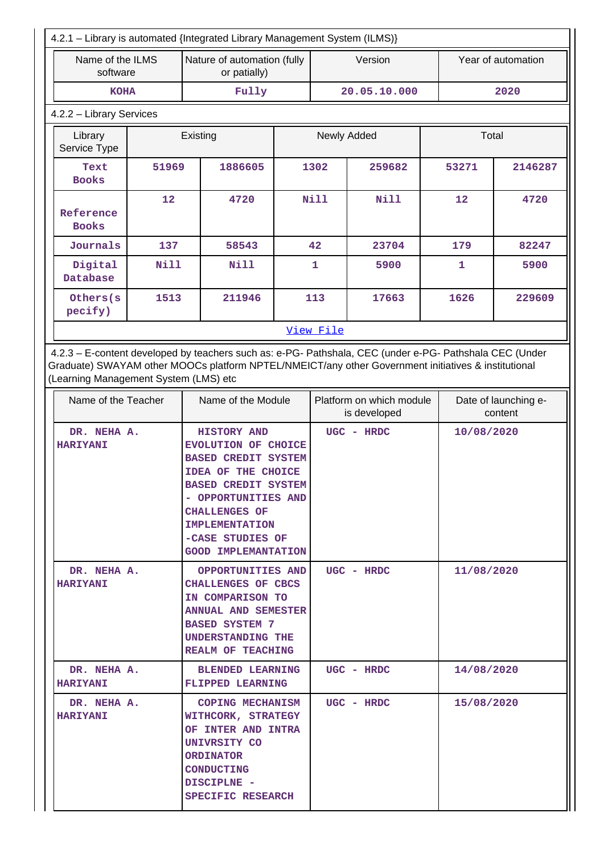| 4.2.1 - Library is automated {Integrated Library Management System (ILMS)}                                                                                                                                                                              |             |          |                                                                                                                                                                                                                                                              |  |                |                                          |            |                                 |  |  |  |  |
|---------------------------------------------------------------------------------------------------------------------------------------------------------------------------------------------------------------------------------------------------------|-------------|----------|--------------------------------------------------------------------------------------------------------------------------------------------------------------------------------------------------------------------------------------------------------------|--|----------------|------------------------------------------|------------|---------------------------------|--|--|--|--|
| Name of the ILMS<br>software                                                                                                                                                                                                                            |             |          | Nature of automation (fully<br>or patially)                                                                                                                                                                                                                  |  |                | Version                                  |            | Year of automation              |  |  |  |  |
| <b>KOHA</b>                                                                                                                                                                                                                                             |             |          | Fully                                                                                                                                                                                                                                                        |  |                | 20.05.10.000                             |            | 2020                            |  |  |  |  |
| 4.2.2 - Library Services                                                                                                                                                                                                                                |             |          |                                                                                                                                                                                                                                                              |  |                |                                          |            |                                 |  |  |  |  |
| Library<br>Service Type                                                                                                                                                                                                                                 |             | Existing |                                                                                                                                                                                                                                                              |  |                | Newly Added                              |            | Total                           |  |  |  |  |
| Text<br><b>Books</b>                                                                                                                                                                                                                                    | 51969       |          | 1886605                                                                                                                                                                                                                                                      |  | 1302<br>259682 |                                          | 53271      | 2146287                         |  |  |  |  |
| Reference<br><b>Books</b>                                                                                                                                                                                                                               | 12          |          | 4720                                                                                                                                                                                                                                                         |  | <b>Nill</b>    | <b>Nill</b>                              | 12         | 4720                            |  |  |  |  |
| Journals                                                                                                                                                                                                                                                | 137         |          | 58543                                                                                                                                                                                                                                                        |  | 42             | 23704                                    | 179        | 82247                           |  |  |  |  |
| Digital<br>Database                                                                                                                                                                                                                                     | <b>Nill</b> |          | <b>Nill</b>                                                                                                                                                                                                                                                  |  | 1              | 5900                                     | 1          | 5900                            |  |  |  |  |
| Others(s<br>pecify)                                                                                                                                                                                                                                     | 1513        |          | 211946                                                                                                                                                                                                                                                       |  | 113            | 17663                                    | 1626       | 229609                          |  |  |  |  |
|                                                                                                                                                                                                                                                         |             |          |                                                                                                                                                                                                                                                              |  | View File      |                                          |            |                                 |  |  |  |  |
| 4.2.3 - E-content developed by teachers such as: e-PG- Pathshala, CEC (under e-PG- Pathshala CEC (Under<br>Graduate) SWAYAM other MOOCs platform NPTEL/NMEICT/any other Government initiatives & institutional<br>(Learning Management System (LMS) etc |             |          |                                                                                                                                                                                                                                                              |  |                |                                          |            |                                 |  |  |  |  |
| Name of the Teacher                                                                                                                                                                                                                                     |             |          | Name of the Module                                                                                                                                                                                                                                           |  |                | Platform on which module<br>is developed |            | Date of launching e-<br>content |  |  |  |  |
| DR. NEHA A.<br><b>HARIYANI</b>                                                                                                                                                                                                                          |             |          | <b>HISTORY AND</b><br><b>EVOLUTION OF CHOICE</b><br><b>BASED CREDIT SYSTEM</b><br>IDEA OF THE CHOICE<br><b>BASED CREDIT SYSTEM</b><br>- OPPORTUNITIES AND<br><b>CHALLENGES OF</b><br><b>IMPLEMENTATION</b><br>-CASE STUDIES OF<br><b>GOOD IMPLEMANTATION</b> |  |                | UGC - HRDC                               | 10/08/2020 |                                 |  |  |  |  |
| DR. NEHA A.<br><b>HARIYANI</b>                                                                                                                                                                                                                          |             |          | OPPORTUNITIES AND<br>CHALLENGES OF CBCS<br>IN COMPARISON TO<br><b>ANNUAL AND SEMESTER</b><br><b>BASED SYSTEM 7</b><br>UNDERSTANDING THE<br>REALM OF TEACHING                                                                                                 |  |                | $UGC - HRDC$                             | 11/08/2020 |                                 |  |  |  |  |
| DR. NEHA A.<br><b>HARIYANI</b>                                                                                                                                                                                                                          |             |          | <b>BLENDED LEARNING</b><br><b>FLIPPED LEARNING</b>                                                                                                                                                                                                           |  |                | UGC - HRDC                               | 14/08/2020 |                                 |  |  |  |  |
| DR. NEHA A.<br><b>HARIYANI</b>                                                                                                                                                                                                                          |             |          | COPING MECHANISM<br>WITHCORK, STRATEGY<br>OF INTER AND INTRA<br>UNIVRSITY CO<br><b>ORDINATOR</b><br>CONDUCTING<br>DISCIPLNE -<br>SPECIFIC RESEARCH                                                                                                           |  |                | UGC - HRDC                               | 15/08/2020 |                                 |  |  |  |  |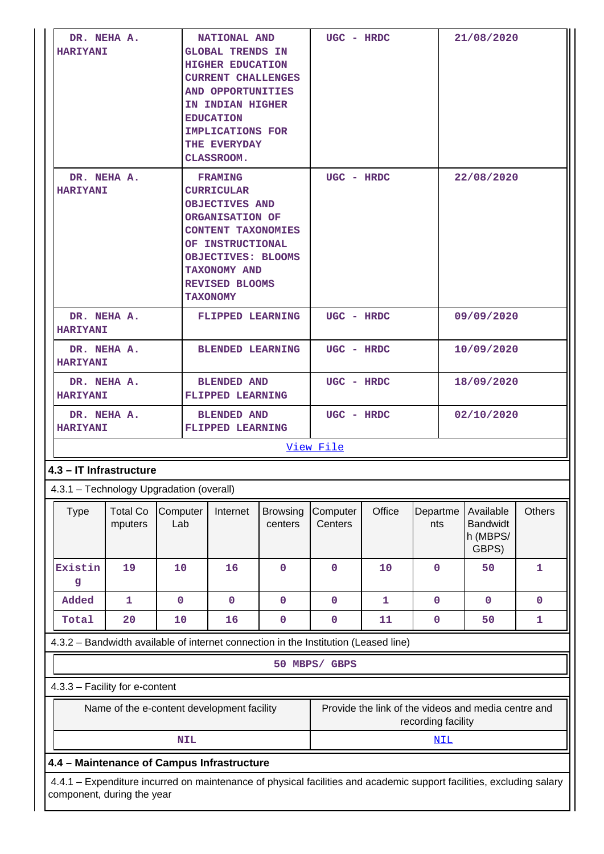| <b>HARIYANI</b>                                                                                                                                    | DR. NEHA A.                                |                 |                                        | <b>NATIONAL AND</b><br><b>GLOBAL TRENDS IN</b><br><b>HIGHER EDUCATION</b><br><b>CURRENT CHALLENGES</b><br>AND OPPORTUNITIES<br>IN INDIAN HIGHER<br><b>EDUCATION</b><br>IMPLICATIONS FOR<br>THE EVERYDAY<br>CLASSROOM. |                            | $UGC - HRDC$        |              |                                                     |            | 21/08/2020                                        |             |  |
|----------------------------------------------------------------------------------------------------------------------------------------------------|--------------------------------------------|-----------------|----------------------------------------|-----------------------------------------------------------------------------------------------------------------------------------------------------------------------------------------------------------------------|----------------------------|---------------------|--------------|-----------------------------------------------------|------------|---------------------------------------------------|-------------|--|
| DR. NEHA A.<br><b>HARIYANI</b>                                                                                                                     |                                            |                 |                                        | <b>FRAMING</b><br><b>CURRICULAR</b><br><b>OBJECTIVES AND</b><br>ORGANISATION OF<br><b>CONTENT TAXONOMIES</b><br>OF INSTRUCTIONAL<br>OBJECTIVES: BLOOMS<br>TAXONOMY AND<br><b>REVISED BLOOMS</b><br><b>TAXONOMY</b>    |                            | UGC - HRDC          |              |                                                     |            | 22/08/2020                                        |             |  |
|                                                                                                                                                    | DR. NEHA A.<br><b>HARIYANI</b>             |                 |                                        | FLIPPED LEARNING                                                                                                                                                                                                      |                            | $UGC - HRDC$        |              |                                                     |            | 09/09/2020                                        |             |  |
|                                                                                                                                                    | DR. NEHA A.<br><b>HARIYANI</b>             |                 |                                        | <b>BLENDED LEARNING</b>                                                                                                                                                                                               |                            |                     | $UGC - HRDC$ |                                                     |            | 10/09/2020                                        |             |  |
| DR. NEHA A.<br><b>HARIYANI</b>                                                                                                                     |                                            |                 | <b>BLENDED AND</b><br>FLIPPED LEARNING |                                                                                                                                                                                                                       |                            | UGC - HRDC          |              |                                                     | 18/09/2020 |                                                   |             |  |
|                                                                                                                                                    | DR. NEHA A.<br><b>HARIYANI</b>             |                 |                                        | <b>BLENDED AND</b><br>FLIPPED LEARNING                                                                                                                                                                                |                            |                     | $UGC - HRDC$ |                                                     |            | 02/10/2020                                        |             |  |
|                                                                                                                                                    |                                            |                 |                                        |                                                                                                                                                                                                                       |                            | View File           |              |                                                     |            |                                                   |             |  |
| 4.3 - IT Infrastructure                                                                                                                            |                                            |                 |                                        |                                                                                                                                                                                                                       |                            |                     |              |                                                     |            |                                                   |             |  |
| 4.3.1 - Technology Upgradation (overall)                                                                                                           |                                            |                 |                                        |                                                                                                                                                                                                                       |                            |                     |              |                                                     |            |                                                   |             |  |
| <b>Type</b>                                                                                                                                        | <b>Total Co</b><br>mputers                 | Computer<br>Lab |                                        | Internet                                                                                                                                                                                                              | <b>Browsing</b><br>centers | Computer<br>Centers | Office       | Departme<br>nts                                     |            | Available<br><b>Bandwidt</b><br>h (MBPS/<br>GBPS) | Others      |  |
| Existin<br>g                                                                                                                                       | 19                                         | 10              |                                        | 16                                                                                                                                                                                                                    | $\mathbf 0$                | 0                   | 10           | $\overline{0}$                                      |            | 50                                                | 1           |  |
| Added                                                                                                                                              | 1                                          | $\mathbf 0$     |                                        | $\mathbf 0$                                                                                                                                                                                                           | 0                          | 0                   | 1            | $\mathbf{0}$                                        |            | $\mathbf 0$                                       | $\mathbf 0$ |  |
| Total                                                                                                                                              | 20<br>10<br>16<br>0<br>0                   |                 |                                        | 11                                                                                                                                                                                                                    | 0                          |                     | 50           | 1                                                   |            |                                                   |             |  |
| 4.3.2 - Bandwidth available of internet connection in the Institution (Leased line)                                                                |                                            |                 |                                        |                                                                                                                                                                                                                       |                            |                     |              |                                                     |            |                                                   |             |  |
|                                                                                                                                                    |                                            |                 |                                        |                                                                                                                                                                                                                       |                            | 50 MBPS/ GBPS       |              |                                                     |            |                                                   |             |  |
| 4.3.3 - Facility for e-content                                                                                                                     |                                            |                 |                                        |                                                                                                                                                                                                                       |                            |                     |              |                                                     |            |                                                   |             |  |
|                                                                                                                                                    | Name of the e-content development facility |                 |                                        |                                                                                                                                                                                                                       |                            | recording facility  |              | Provide the link of the videos and media centre and |            |                                                   |             |  |
|                                                                                                                                                    |                                            |                 | <b>NIL</b>                             |                                                                                                                                                                                                                       |                            |                     |              |                                                     | <b>NIL</b> |                                                   |             |  |
| 4.4 - Maintenance of Campus Infrastructure                                                                                                         |                                            |                 |                                        |                                                                                                                                                                                                                       |                            |                     |              |                                                     |            |                                                   |             |  |
| 4.4.1 - Expenditure incurred on maintenance of physical facilities and academic support facilities, excluding salary<br>component, during the year |                                            |                 |                                        |                                                                                                                                                                                                                       |                            |                     |              |                                                     |            |                                                   |             |  |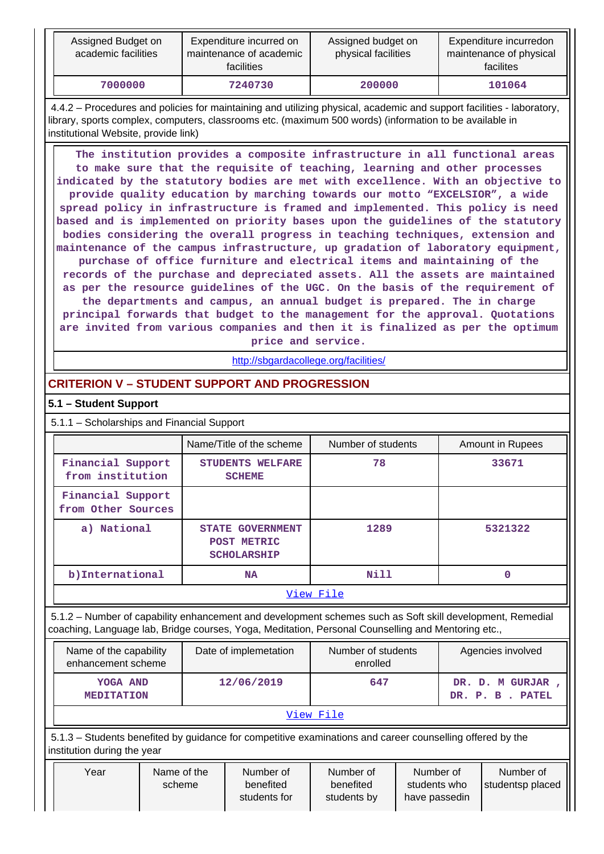| Assigned Budget on<br>academic facilities | Expenditure incurred on<br>maintenance of academic<br>facilities | Assigned budget on<br>physical facilities | Expenditure incurredon<br>maintenance of physical<br>facilites |
|-------------------------------------------|------------------------------------------------------------------|-------------------------------------------|----------------------------------------------------------------|
| 7000000                                   | 7240730                                                          | 200000                                    | 101064                                                         |

 4.4.2 – Procedures and policies for maintaining and utilizing physical, academic and support facilities - laboratory, library, sports complex, computers, classrooms etc. (maximum 500 words) (information to be available in institutional Website, provide link)

 **The institution provides a composite infrastructure in all functional areas to make sure that the requisite of teaching, learning and other processes indicated by the statutory bodies are met with excellence. With an objective to provide quality education by marching towards our motto "EXCELSIOR", a wide spread policy in infrastructure is framed and implemented. This policy is need based and is implemented on priority bases upon the guidelines of the statutory bodies considering the overall progress in teaching techniques, extension and maintenance of the campus infrastructure, up gradation of laboratory equipment, purchase of office furniture and electrical items and maintaining of the records of the purchase and depreciated assets. All the assets are maintained as per the resource guidelines of the UGC. On the basis of the requirement of the departments and campus, an annual budget is prepared. The in charge principal forwards that budget to the management for the approval. Quotations are invited from various companies and then it is finalized as per the optimum price and service.**

<http://sbgardacollege.org/facilities/>

# **CRITERION V – STUDENT SUPPORT AND PROGRESSION**

### **5.1 – Student Support**

### 5.1.1 – Scholarships and Financial Support

|                                         | Name/Title of the scheme                                     | Number of students | Amount in Rupees |
|-----------------------------------------|--------------------------------------------------------------|--------------------|------------------|
| Financial Support<br>from institution   | <b>STUDENTS WELFARE</b><br><b>SCHEME</b>                     | 78                 | 33671            |
| Financial Support<br>from Other Sources |                                                              |                    |                  |
| a) National                             | <b>STATE GOVERNMENT</b><br>POST METRIC<br><b>SCHOLARSHIP</b> | 1289               | 5321322          |
| b) International                        | <b>NA</b>                                                    | Nill               | 0                |
|                                         |                                                              | View File          |                  |

 5.1.2 – Number of capability enhancement and development schemes such as Soft skill development, Remedial coaching, Language lab, Bridge courses, Yoga, Meditation, Personal Counselling and Mentoring etc.,

| Name of the capability<br>enhancement scheme | Date of implemetation |     | Agencies involved                   |  |  |  |  |  |
|----------------------------------------------|-----------------------|-----|-------------------------------------|--|--|--|--|--|
| YOGA AND<br><b>MEDITATION</b>                | 12/06/2019            | 647 | DR. D. M GURJAR<br>DR. P. B . PATEL |  |  |  |  |  |
| <u>View File</u>                             |                       |     |                                     |  |  |  |  |  |

 5.1.3 – Students benefited by guidance for competitive examinations and career counselling offered by the institution during the year

| Year | Name of the<br>scheme | Number of<br>benefited | Number of<br>benefited | Number of<br>students who | Number of<br>studentsp placed |
|------|-----------------------|------------------------|------------------------|---------------------------|-------------------------------|
|      |                       | students for           | students by            | have passedin             |                               |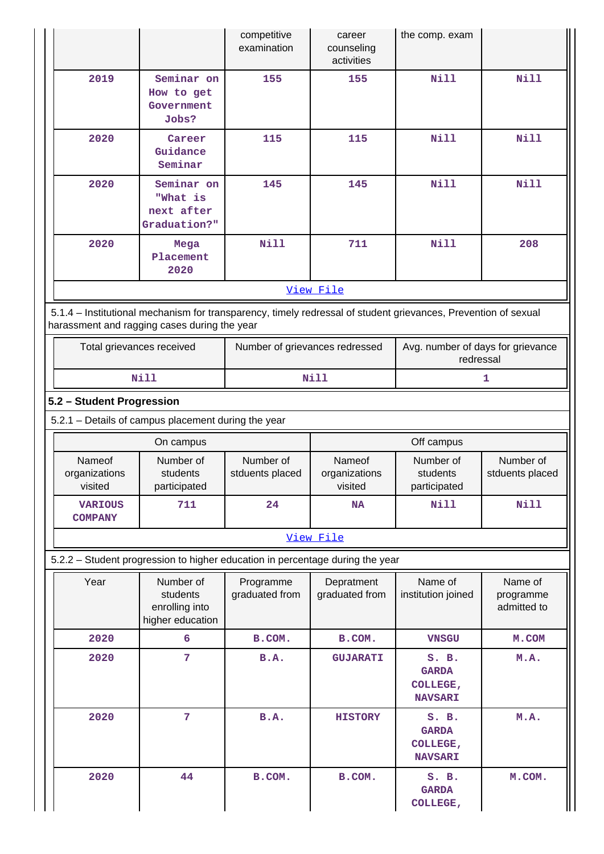|                                                                                                                                                                |                                                             | competitive<br>examination     | career<br>counseling<br>activities | the comp. exam                                      |                                     |  |  |  |  |
|----------------------------------------------------------------------------------------------------------------------------------------------------------------|-------------------------------------------------------------|--------------------------------|------------------------------------|-----------------------------------------------------|-------------------------------------|--|--|--|--|
| 2019                                                                                                                                                           | Seminar on<br>How to get<br>Government<br>Jobs?             | 155                            | 155                                | Nill                                                | <b>Nill</b>                         |  |  |  |  |
| 2020                                                                                                                                                           | Career<br>Guidance<br>Seminar                               | 115                            | 115                                | Nill                                                | <b>Nill</b>                         |  |  |  |  |
| 2020                                                                                                                                                           | Seminar on<br>"What is<br>next after<br>Graduation?"        | 145                            | 145                                | <b>Nill</b>                                         | <b>Nill</b>                         |  |  |  |  |
| 2020                                                                                                                                                           | Mega<br>Placement<br>2020                                   | <b>Nill</b>                    | 711                                | <b>Nill</b>                                         | 208                                 |  |  |  |  |
|                                                                                                                                                                |                                                             |                                | View File                          |                                                     |                                     |  |  |  |  |
| 5.1.4 - Institutional mechanism for transparency, timely redressal of student grievances, Prevention of sexual<br>harassment and ragging cases during the year |                                                             |                                |                                    |                                                     |                                     |  |  |  |  |
|                                                                                                                                                                | Total grievances received                                   | Number of grievances redressed |                                    | Avg. number of days for grievance<br>redressal      |                                     |  |  |  |  |
|                                                                                                                                                                | <b>Nill</b>                                                 |                                | <b>Nill</b>                        |                                                     | 1                                   |  |  |  |  |
| 5.2 - Student Progression                                                                                                                                      |                                                             |                                |                                    |                                                     |                                     |  |  |  |  |
| 5.2.1 - Details of campus placement during the year                                                                                                            |                                                             |                                |                                    |                                                     |                                     |  |  |  |  |
|                                                                                                                                                                |                                                             |                                |                                    |                                                     |                                     |  |  |  |  |
|                                                                                                                                                                | On campus                                                   |                                |                                    | Off campus                                          |                                     |  |  |  |  |
| Nameof<br>organizations<br>visited                                                                                                                             | Number of<br>students<br>participated                       | Number of<br>stduents placed   | Nameof<br>organizations<br>visited | Number of<br>students<br>participated               | Number of<br>stduents placed        |  |  |  |  |
| <b>VARIOUS</b><br><b>COMPANY</b>                                                                                                                               | 711                                                         | 24                             | <b>NA</b>                          | <b>Nill</b>                                         | Nill                                |  |  |  |  |
|                                                                                                                                                                |                                                             |                                | View File                          |                                                     |                                     |  |  |  |  |
| 5.2.2 - Student progression to higher education in percentage during the year                                                                                  |                                                             |                                |                                    |                                                     |                                     |  |  |  |  |
| Year                                                                                                                                                           | Number of<br>students<br>enrolling into<br>higher education | Programme<br>graduated from    | Depratment<br>graduated from       | Name of<br>institution joined                       | Name of<br>programme<br>admitted to |  |  |  |  |
| 2020                                                                                                                                                           | 6                                                           | B.COM.                         | B.COM.                             | <b>VNSGU</b>                                        | M.COM                               |  |  |  |  |
| 2020                                                                                                                                                           | 7                                                           | <b>B.A.</b>                    | <b>GUJARATI</b>                    | S. B.<br><b>GARDA</b><br>COLLEGE,<br><b>NAVSARI</b> | M.A.                                |  |  |  |  |
| 2020                                                                                                                                                           | $\overline{7}$                                              | <b>B.A.</b>                    | <b>HISTORY</b>                     | S. B.<br><b>GARDA</b><br>COLLEGE,<br><b>NAVSARI</b> | M.A.                                |  |  |  |  |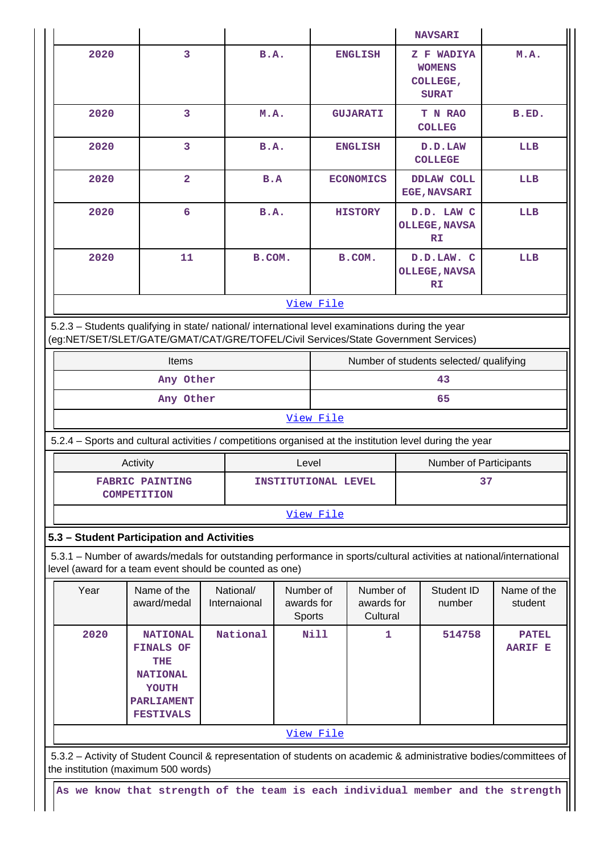|                                         |                                                                                                                                                                                                                              |                           |                                   |                     |                                     |  | <b>NAVSARI</b>                                                        |    |                                |  |  |  |  |  |
|-----------------------------------------|------------------------------------------------------------------------------------------------------------------------------------------------------------------------------------------------------------------------------|---------------------------|-----------------------------------|---------------------|-------------------------------------|--|-----------------------------------------------------------------------|----|--------------------------------|--|--|--|--|--|
| 2020                                    | 3                                                                                                                                                                                                                            | <b>B.A.</b>               |                                   |                     | <b>ENGLISH</b>                      |  | <b>Z F WADIYA</b><br><b>WOMENS</b><br><b>COLLEGE,</b><br><b>SURAT</b> |    | M.A.                           |  |  |  |  |  |
| 2020                                    | 3                                                                                                                                                                                                                            | M.A.                      |                                   |                     | <b>GUJARATI</b>                     |  | <b>T N RAO</b><br><b>COLLEG</b>                                       |    | B.ED.                          |  |  |  |  |  |
| 2020                                    | 3                                                                                                                                                                                                                            | B.A.                      |                                   |                     | <b>ENGLISH</b>                      |  | D.D.LAW<br><b>COLLEGE</b>                                             |    | LLB                            |  |  |  |  |  |
| 2020                                    | $\overline{\mathbf{2}}$                                                                                                                                                                                                      | B.A                       |                                   |                     | <b>ECONOMICS</b>                    |  | <b>DDLAW COLL</b><br><b>EGE, NAVSARI</b>                              |    | LLB                            |  |  |  |  |  |
| 2020                                    | $6\phantom{1}6$                                                                                                                                                                                                              | B.A.                      |                                   |                     | <b>HISTORY</b>                      |  | D.D. LAW C<br><b>OLLEGE, NAVSA</b><br><b>RI</b>                       |    | LLB                            |  |  |  |  |  |
| 2020                                    | 11                                                                                                                                                                                                                           | B.COM.                    |                                   |                     | B.COM.                              |  | D.D.LAW. C<br><b>OLLEGE, NAVSA</b><br>RI                              |    | LLB                            |  |  |  |  |  |
|                                         |                                                                                                                                                                                                                              |                           |                                   | View File           |                                     |  |                                                                       |    |                                |  |  |  |  |  |
|                                         | 5.2.3 - Students qualifying in state/ national/ international level examinations during the year                                                                                                                             |                           |                                   |                     |                                     |  |                                                                       |    |                                |  |  |  |  |  |
|                                         | (eg:NET/SET/SLET/GATE/GMAT/CAT/GRE/TOFEL/Civil Services/State Government Services)                                                                                                                                           |                           |                                   |                     |                                     |  |                                                                       |    |                                |  |  |  |  |  |
|                                         | Items                                                                                                                                                                                                                        |                           |                                   |                     |                                     |  |                                                                       |    |                                |  |  |  |  |  |
| Number of students selected/ qualifying |                                                                                                                                                                                                                              |                           |                                   |                     |                                     |  |                                                                       |    |                                |  |  |  |  |  |
|                                         |                                                                                                                                                                                                                              |                           |                                   |                     |                                     |  | 43                                                                    |    |                                |  |  |  |  |  |
|                                         | Any Other                                                                                                                                                                                                                    |                           |                                   |                     |                                     |  |                                                                       |    |                                |  |  |  |  |  |
|                                         | Any Other                                                                                                                                                                                                                    |                           |                                   |                     |                                     |  | 65                                                                    |    |                                |  |  |  |  |  |
|                                         |                                                                                                                                                                                                                              |                           |                                   | View File           |                                     |  |                                                                       |    |                                |  |  |  |  |  |
|                                         | 5.2.4 - Sports and cultural activities / competitions organised at the institution level during the year                                                                                                                     |                           |                                   |                     |                                     |  |                                                                       |    |                                |  |  |  |  |  |
|                                         | Activity                                                                                                                                                                                                                     |                           | Level                             |                     |                                     |  | Number of Participants                                                |    |                                |  |  |  |  |  |
|                                         | <b>FABRIC PAINTING</b><br><b>COMPETITION</b>                                                                                                                                                                                 |                           |                                   | INSTITUTIONAL LEVEL |                                     |  |                                                                       | 37 |                                |  |  |  |  |  |
|                                         |                                                                                                                                                                                                                              |                           |                                   | View File           |                                     |  |                                                                       |    |                                |  |  |  |  |  |
|                                         |                                                                                                                                                                                                                              |                           |                                   |                     |                                     |  |                                                                       |    |                                |  |  |  |  |  |
|                                         | 5.3 - Student Participation and Activities<br>5.3.1 - Number of awards/medals for outstanding performance in sports/cultural activities at national/international<br>level (award for a team event should be counted as one) |                           |                                   |                     |                                     |  |                                                                       |    |                                |  |  |  |  |  |
| Year                                    | Name of the<br>award/medal                                                                                                                                                                                                   | National/<br>Internaional | Number of<br>awards for<br>Sports |                     | Number of<br>awards for<br>Cultural |  | Student ID<br>number                                                  |    | Name of the<br>student         |  |  |  |  |  |
| 2020                                    | <b>NATIONAL</b><br><b>FINALS OF</b><br>THEIR<br><b>NATIONAL</b><br>YOUTH<br><b>PARLIAMENT</b><br><b>FESTIVALS</b>                                                                                                            | National                  |                                   | <b>Nill</b>         | 1                                   |  | 514758                                                                |    | <b>PATEL</b><br><b>AARIF E</b> |  |  |  |  |  |

**As we know that strength of the team is each individual member and the strength**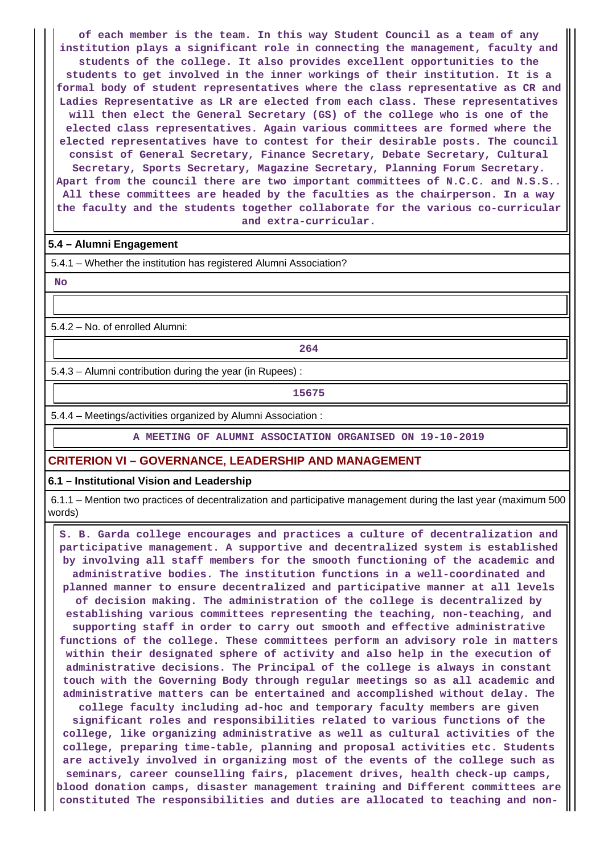**of each member is the team. In this way Student Council as a team of any institution plays a significant role in connecting the management, faculty and students of the college. It also provides excellent opportunities to the students to get involved in the inner workings of their institution. It is a formal body of student representatives where the class representative as CR and Ladies Representative as LR are elected from each class. These representatives will then elect the General Secretary (GS) of the college who is one of the elected class representatives. Again various committees are formed where the elected representatives have to contest for their desirable posts. The council consist of General Secretary, Finance Secretary, Debate Secretary, Cultural Secretary, Sports Secretary, Magazine Secretary, Planning Forum Secretary. Apart from the council there are two important committees of N.C.C. and N.S.S.. All these committees are headed by the faculties as the chairperson. In a way the faculty and the students together collaborate for the various co-curricular and extra-curricular.**

#### **5.4 – Alumni Engagement**

5.4.1 – Whether the institution has registered Alumni Association?

 **No**

5.4.2 – No. of enrolled Alumni:

**264**

5.4.3 – Alumni contribution during the year (in Rupees) :

**15675**

5.4.4 – Meetings/activities organized by Alumni Association :

**A MEETING OF ALUMNI ASSOCIATION ORGANISED ON 19-10-2019**

#### **CRITERION VI – GOVERNANCE, LEADERSHIP AND MANAGEMENT**

#### **6.1 – Institutional Vision and Leadership**

 6.1.1 – Mention two practices of decentralization and participative management during the last year (maximum 500 words)

 **S. B. Garda college encourages and practices a culture of decentralization and participative management. A supportive and decentralized system is established by involving all staff members for the smooth functioning of the academic and administrative bodies. The institution functions in a well-coordinated and planned manner to ensure decentralized and participative manner at all levels of decision making. The administration of the college is decentralized by establishing various committees representing the teaching, non-teaching, and supporting staff in order to carry out smooth and effective administrative functions of the college. These committees perform an advisory role in matters within their designated sphere of activity and also help in the execution of administrative decisions. The Principal of the college is always in constant touch with the Governing Body through regular meetings so as all academic and administrative matters can be entertained and accomplished without delay. The college faculty including ad-hoc and temporary faculty members are given**

**significant roles and responsibilities related to various functions of the college, like organizing administrative as well as cultural activities of the college, preparing time-table, planning and proposal activities etc. Students are actively involved in organizing most of the events of the college such as seminars, career counselling fairs, placement drives, health check-up camps, blood donation camps, disaster management training and Different committees are constituted The responsibilities and duties are allocated to teaching and non-**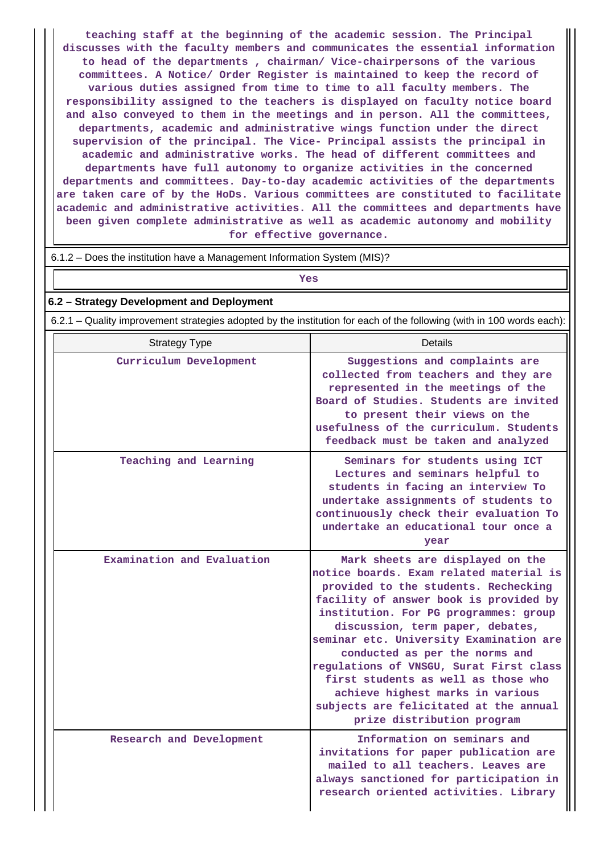**teaching staff at the beginning of the academic session. The Principal discusses with the faculty members and communicates the essential information to head of the departments , chairman/ Vice-chairpersons of the various committees. A Notice/ Order Register is maintained to keep the record of various duties assigned from time to time to all faculty members. The responsibility assigned to the teachers is displayed on faculty notice board and also conveyed to them in the meetings and in person. All the committees, departments, academic and administrative wings function under the direct supervision of the principal. The Vice- Principal assists the principal in academic and administrative works. The head of different committees and departments have full autonomy to organize activities in the concerned departments and committees. Day-to-day academic activities of the departments are taken care of by the HoDs. Various committees are constituted to facilitate academic and administrative activities. All the committees and departments have been given complete administrative as well as academic autonomy and mobility for effective governance.**

| 6.1.2 – Does the institution have a Management Information System (MIS)? |  |  |  |
|--------------------------------------------------------------------------|--|--|--|
|                                                                          |  |  |  |

*Yes* 

#### **6.2 – Strategy Development and Deployment**

6.2.1 – Quality improvement strategies adopted by the institution for each of the following (with in 100 words each):

| <b>Strategy Type</b>       | Details                                                                                                                                                                                                                                                                                                                                                                                                                                                                                                               |
|----------------------------|-----------------------------------------------------------------------------------------------------------------------------------------------------------------------------------------------------------------------------------------------------------------------------------------------------------------------------------------------------------------------------------------------------------------------------------------------------------------------------------------------------------------------|
| Curriculum Development     | Suggestions and complaints are<br>collected from teachers and they are<br>represented in the meetings of the<br>Board of Studies. Students are invited<br>to present their views on the<br>usefulness of the curriculum. Students<br>feedback must be taken and analyzed                                                                                                                                                                                                                                              |
| Teaching and Learning      | Seminars for students using ICT<br>Lectures and seminars helpful to<br>students in facing an interview To<br>undertake assignments of students to<br>continuously check their evaluation To<br>undertake an educational tour once a<br>year                                                                                                                                                                                                                                                                           |
| Examination and Evaluation | Mark sheets are displayed on the<br>notice boards. Exam related material is<br>provided to the students. Rechecking<br>facility of answer book is provided by<br>institution. For PG programmes: group<br>discussion, term paper, debates,<br>seminar etc. University Examination are<br>conducted as per the norms and<br>regulations of VNSGU, Surat First class<br>first students as well as those who<br>achieve highest marks in various<br>subjects are felicitated at the annual<br>prize distribution program |
| Research and Development   | Information on seminars and<br>invitations for paper publication are<br>mailed to all teachers. Leaves are<br>always sanctioned for participation in<br>research oriented activities. Library                                                                                                                                                                                                                                                                                                                         |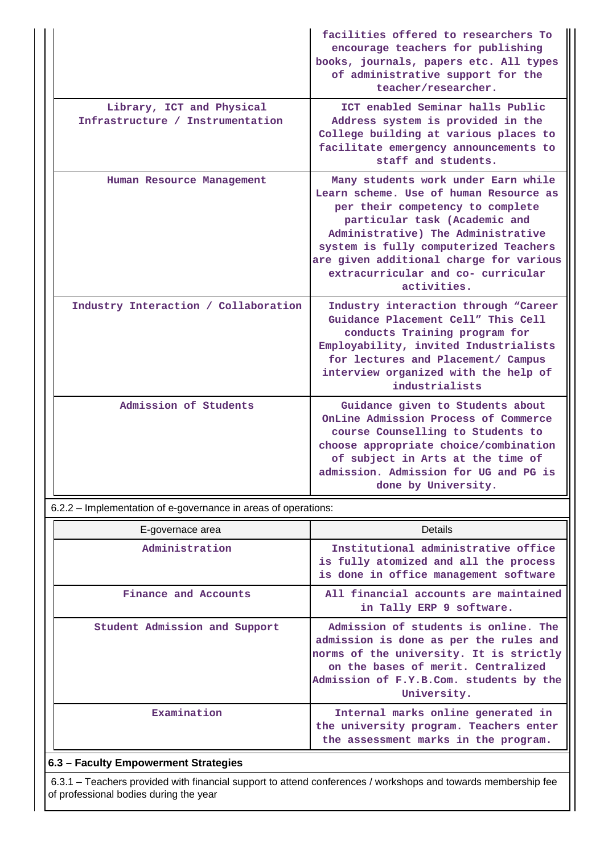|                                                               | facilities offered to researchers To<br>encourage teachers for publishing<br>books, journals, papers etc. All types<br>of administrative support for the<br>teacher/researcher.                                                                                                                                                   |
|---------------------------------------------------------------|-----------------------------------------------------------------------------------------------------------------------------------------------------------------------------------------------------------------------------------------------------------------------------------------------------------------------------------|
| Library, ICT and Physical<br>Infrastructure / Instrumentation | ICT enabled Seminar halls Public<br>Address system is provided in the<br>College building at various places to<br>facilitate emergency announcements to<br>staff and students.                                                                                                                                                    |
| Human Resource Management                                     | Many students work under Earn while<br>Learn scheme. Use of human Resource as<br>per their competency to complete<br>particular task (Academic and<br>Administrative) The Administrative<br>system is fully computerized Teachers<br>are given additional charge for various<br>extracurricular and co- curricular<br>activities. |
| Industry Interaction / Collaboration                          | Industry interaction through "Career<br>Guidance Placement Cell" This Cell<br>conducts Training program for<br>Employability, invited Industrialists<br>for lectures and Placement/ Campus<br>interview organized with the help of<br>industrialists                                                                              |
| Admission of Students                                         | Guidance given to Students about<br>OnLine Admission Process of Commerce<br>course Counselling to Students to<br>choose appropriate choice/combination<br>of subject in Arts at the time of<br>admission. Admission for UG and PG is<br>done by University.                                                                       |

6.2.2 – Implementation of e-governance in areas of operations:

| E-governace area              | <b>Details</b>                                                                                                                                                                                                            |
|-------------------------------|---------------------------------------------------------------------------------------------------------------------------------------------------------------------------------------------------------------------------|
| Administration                | Institutional administrative office<br>is fully atomized and all the process<br>is done in office management software                                                                                                     |
| Finance and Accounts          | All financial accounts are maintained<br>in Tally ERP 9 software.                                                                                                                                                         |
| Student Admission and Support | Admission of students is online. The<br>admission is done as per the rules and<br>norms of the university. It is strictly<br>on the bases of merit. Centralized<br>Admission of F.Y.B.Com. students by the<br>University. |
| Examination                   | Internal marks online generated in<br>the university program. Teachers enter<br>the assessment marks in the program.                                                                                                      |

## **6.3 – Faculty Empowerment Strategies**

 6.3.1 – Teachers provided with financial support to attend conferences / workshops and towards membership fee of professional bodies during the year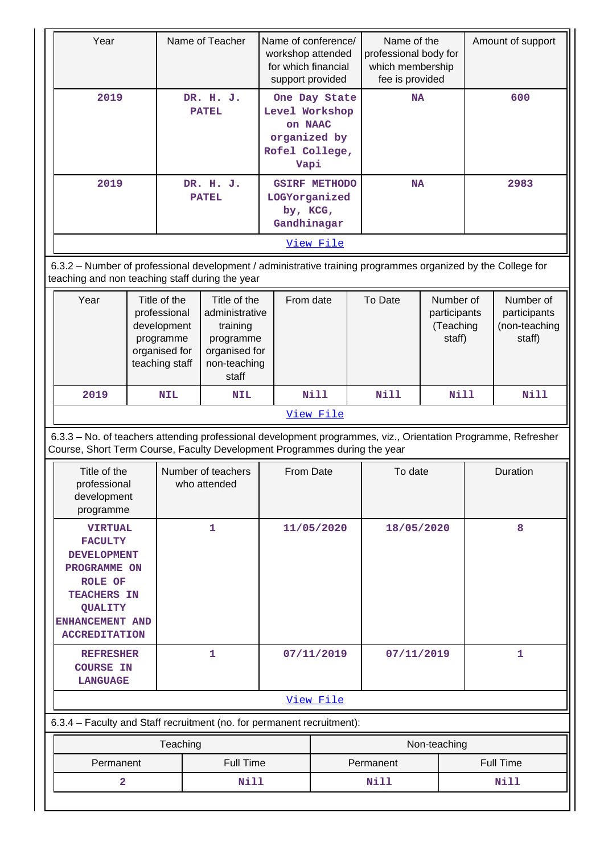| 600<br>2019<br>One Day State<br>DR. H. J.<br><b>NA</b><br><b>PATEL</b><br>Level Workshop<br>on NAAC<br>organized by<br>Rofel College,<br>Vapi<br>2983<br>2019<br>DR. H. J.<br><b>GSIRF METHODO</b><br><b>NA</b><br>LOGYorganized<br><b>PATEL</b><br>by, KCG,<br>Gandhinagar<br>View File<br>6.3.2 - Number of professional development / administrative training programmes organized by the College for<br>teaching and non teaching staff during the year<br>Year<br>Title of the<br>Title of the<br>Number of<br>From date<br>To Date<br>Number of<br>professional<br>participants<br>administrative<br>participants<br>development<br>(Teaching<br>(non-teaching<br>training<br>programme<br>staff)<br>programme<br>staff)<br>organised for<br>organised for<br>teaching staff<br>non-teaching<br>staff<br>Nill<br>Nill<br>2019<br>Nill<br>Nill<br><b>NIL</b><br><b>NIL</b><br>View File<br>6.3.3 - No. of teachers attending professional development programmes, viz., Orientation Programme, Refresher<br>Course, Short Term Course, Faculty Development Programmes during the year<br>Title of the<br>Number of teachers<br>From Date<br>To date<br>Duration<br>professional<br>who attended<br>development<br>programme<br>$\mathbf{1}$<br>8<br><b>VIRTUAL</b><br>11/05/2020<br>18/05/2020<br><b>FACULTY</b><br><b>DEVELOPMENT</b><br>PROGRAMME ON<br><b>ROLE OF</b><br><b>TEACHERS IN</b><br><b>QUALITY</b><br>ENHANCEMENT AND<br><b>ACCREDITATION</b><br><b>REFRESHER</b><br>1<br>07/11/2019<br>07/11/2019<br>1<br><b>COURSE IN</b><br><b>LANGUAGE</b><br>View File<br>6.3.4 - Faculty and Staff recruitment (no. for permanent recruitment):<br>Teaching<br>Non-teaching<br>Full Time<br><b>Full Time</b><br>Permanent<br>Permanent<br>$\overline{a}$<br>Nill<br><b>Nill</b><br>Nill | Year<br>Name of Teacher |  | Name of conference/<br>workshop attended<br>for which financial<br>support provided |  | Name of the<br>professional body for<br>which membership<br>fee is provided |  | Amount of support |  |  |  |
|--------------------------------------------------------------------------------------------------------------------------------------------------------------------------------------------------------------------------------------------------------------------------------------------------------------------------------------------------------------------------------------------------------------------------------------------------------------------------------------------------------------------------------------------------------------------------------------------------------------------------------------------------------------------------------------------------------------------------------------------------------------------------------------------------------------------------------------------------------------------------------------------------------------------------------------------------------------------------------------------------------------------------------------------------------------------------------------------------------------------------------------------------------------------------------------------------------------------------------------------------------------------------------------------------------------------------------------------------------------------------------------------------------------------------------------------------------------------------------------------------------------------------------------------------------------------------------------------------------------------------------------------------------------------------------------------------------------------------------------------------------------------------------------------------|-------------------------|--|-------------------------------------------------------------------------------------|--|-----------------------------------------------------------------------------|--|-------------------|--|--|--|
|                                                                                                                                                                                                                                                                                                                                                                                                                                                                                                                                                                                                                                                                                                                                                                                                                                                                                                                                                                                                                                                                                                                                                                                                                                                                                                                                                                                                                                                                                                                                                                                                                                                                                                                                                                                                  |                         |  |                                                                                     |  |                                                                             |  |                   |  |  |  |
|                                                                                                                                                                                                                                                                                                                                                                                                                                                                                                                                                                                                                                                                                                                                                                                                                                                                                                                                                                                                                                                                                                                                                                                                                                                                                                                                                                                                                                                                                                                                                                                                                                                                                                                                                                                                  |                         |  |                                                                                     |  |                                                                             |  |                   |  |  |  |
|                                                                                                                                                                                                                                                                                                                                                                                                                                                                                                                                                                                                                                                                                                                                                                                                                                                                                                                                                                                                                                                                                                                                                                                                                                                                                                                                                                                                                                                                                                                                                                                                                                                                                                                                                                                                  |                         |  |                                                                                     |  |                                                                             |  |                   |  |  |  |
|                                                                                                                                                                                                                                                                                                                                                                                                                                                                                                                                                                                                                                                                                                                                                                                                                                                                                                                                                                                                                                                                                                                                                                                                                                                                                                                                                                                                                                                                                                                                                                                                                                                                                                                                                                                                  |                         |  |                                                                                     |  |                                                                             |  |                   |  |  |  |
|                                                                                                                                                                                                                                                                                                                                                                                                                                                                                                                                                                                                                                                                                                                                                                                                                                                                                                                                                                                                                                                                                                                                                                                                                                                                                                                                                                                                                                                                                                                                                                                                                                                                                                                                                                                                  |                         |  |                                                                                     |  |                                                                             |  |                   |  |  |  |
|                                                                                                                                                                                                                                                                                                                                                                                                                                                                                                                                                                                                                                                                                                                                                                                                                                                                                                                                                                                                                                                                                                                                                                                                                                                                                                                                                                                                                                                                                                                                                                                                                                                                                                                                                                                                  |                         |  |                                                                                     |  |                                                                             |  |                   |  |  |  |
|                                                                                                                                                                                                                                                                                                                                                                                                                                                                                                                                                                                                                                                                                                                                                                                                                                                                                                                                                                                                                                                                                                                                                                                                                                                                                                                                                                                                                                                                                                                                                                                                                                                                                                                                                                                                  |                         |  |                                                                                     |  |                                                                             |  |                   |  |  |  |
|                                                                                                                                                                                                                                                                                                                                                                                                                                                                                                                                                                                                                                                                                                                                                                                                                                                                                                                                                                                                                                                                                                                                                                                                                                                                                                                                                                                                                                                                                                                                                                                                                                                                                                                                                                                                  |                         |  |                                                                                     |  |                                                                             |  |                   |  |  |  |
|                                                                                                                                                                                                                                                                                                                                                                                                                                                                                                                                                                                                                                                                                                                                                                                                                                                                                                                                                                                                                                                                                                                                                                                                                                                                                                                                                                                                                                                                                                                                                                                                                                                                                                                                                                                                  |                         |  |                                                                                     |  |                                                                             |  |                   |  |  |  |
|                                                                                                                                                                                                                                                                                                                                                                                                                                                                                                                                                                                                                                                                                                                                                                                                                                                                                                                                                                                                                                                                                                                                                                                                                                                                                                                                                                                                                                                                                                                                                                                                                                                                                                                                                                                                  |                         |  |                                                                                     |  |                                                                             |  |                   |  |  |  |
|                                                                                                                                                                                                                                                                                                                                                                                                                                                                                                                                                                                                                                                                                                                                                                                                                                                                                                                                                                                                                                                                                                                                                                                                                                                                                                                                                                                                                                                                                                                                                                                                                                                                                                                                                                                                  |                         |  |                                                                                     |  |                                                                             |  |                   |  |  |  |
|                                                                                                                                                                                                                                                                                                                                                                                                                                                                                                                                                                                                                                                                                                                                                                                                                                                                                                                                                                                                                                                                                                                                                                                                                                                                                                                                                                                                                                                                                                                                                                                                                                                                                                                                                                                                  |                         |  |                                                                                     |  |                                                                             |  |                   |  |  |  |
|                                                                                                                                                                                                                                                                                                                                                                                                                                                                                                                                                                                                                                                                                                                                                                                                                                                                                                                                                                                                                                                                                                                                                                                                                                                                                                                                                                                                                                                                                                                                                                                                                                                                                                                                                                                                  |                         |  |                                                                                     |  |                                                                             |  |                   |  |  |  |
|                                                                                                                                                                                                                                                                                                                                                                                                                                                                                                                                                                                                                                                                                                                                                                                                                                                                                                                                                                                                                                                                                                                                                                                                                                                                                                                                                                                                                                                                                                                                                                                                                                                                                                                                                                                                  |                         |  |                                                                                     |  |                                                                             |  |                   |  |  |  |
|                                                                                                                                                                                                                                                                                                                                                                                                                                                                                                                                                                                                                                                                                                                                                                                                                                                                                                                                                                                                                                                                                                                                                                                                                                                                                                                                                                                                                                                                                                                                                                                                                                                                                                                                                                                                  |                         |  |                                                                                     |  |                                                                             |  |                   |  |  |  |
|                                                                                                                                                                                                                                                                                                                                                                                                                                                                                                                                                                                                                                                                                                                                                                                                                                                                                                                                                                                                                                                                                                                                                                                                                                                                                                                                                                                                                                                                                                                                                                                                                                                                                                                                                                                                  |                         |  |                                                                                     |  |                                                                             |  |                   |  |  |  |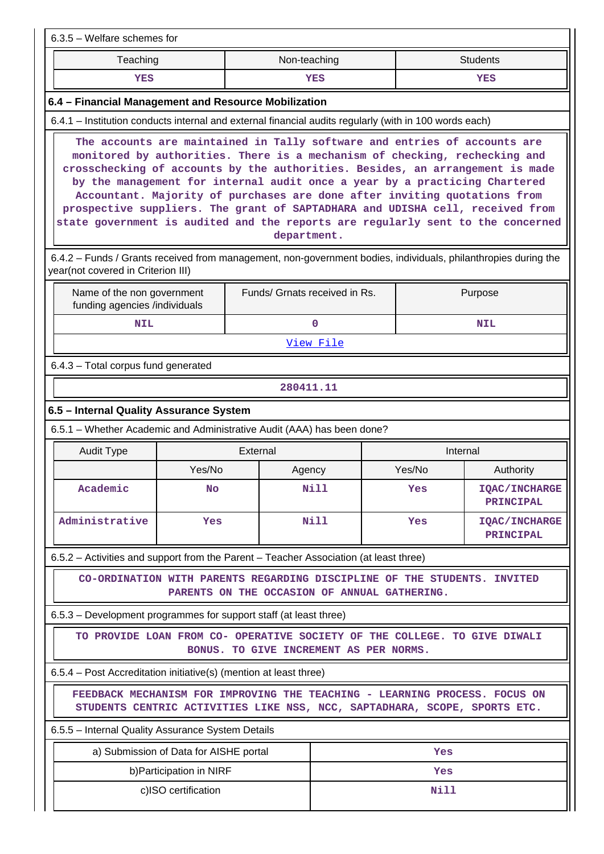| 6.3.5 - Welfare schemes for                                                                                                                                                                                                                                                                                                                                                                                                                                                                                                                                                            |                                        |                                                                                                                                                         |             |          |                                          |  |  |  |  |
|----------------------------------------------------------------------------------------------------------------------------------------------------------------------------------------------------------------------------------------------------------------------------------------------------------------------------------------------------------------------------------------------------------------------------------------------------------------------------------------------------------------------------------------------------------------------------------------|----------------------------------------|---------------------------------------------------------------------------------------------------------------------------------------------------------|-------------|----------|------------------------------------------|--|--|--|--|
| <b>Students</b><br>Teaching<br>Non-teaching                                                                                                                                                                                                                                                                                                                                                                                                                                                                                                                                            |                                        |                                                                                                                                                         |             |          |                                          |  |  |  |  |
| <b>YES</b>                                                                                                                                                                                                                                                                                                                                                                                                                                                                                                                                                                             |                                        |                                                                                                                                                         |             |          | YES                                      |  |  |  |  |
| 6.4 - Financial Management and Resource Mobilization                                                                                                                                                                                                                                                                                                                                                                                                                                                                                                                                   |                                        |                                                                                                                                                         |             |          |                                          |  |  |  |  |
| 6.4.1 – Institution conducts internal and external financial audits regularly (with in 100 words each)                                                                                                                                                                                                                                                                                                                                                                                                                                                                                 |                                        |                                                                                                                                                         |             |          |                                          |  |  |  |  |
| The accounts are maintained in Tally software and entries of accounts are<br>monitored by authorities. There is a mechanism of checking, rechecking and<br>crosschecking of accounts by the authorities. Besides, an arrangement is made<br>by the management for internal audit once a year by a practicing Chartered<br>Accountant. Majority of purchases are done after inviting quotations from<br>prospective suppliers. The grant of SAPTADHARA and UDISHA cell, received from<br>state government is audited and the reports are regularly sent to the concerned<br>department. |                                        |                                                                                                                                                         |             |          |                                          |  |  |  |  |
| 6.4.2 – Funds / Grants received from management, non-government bodies, individuals, philanthropies during the<br>year(not covered in Criterion III)                                                                                                                                                                                                                                                                                                                                                                                                                                   |                                        |                                                                                                                                                         |             |          |                                          |  |  |  |  |
| Name of the non government<br>funding agencies /individuals                                                                                                                                                                                                                                                                                                                                                                                                                                                                                                                            |                                        | Funds/ Grnats received in Rs.                                                                                                                           |             |          | Purpose                                  |  |  |  |  |
| <b>NIL</b>                                                                                                                                                                                                                                                                                                                                                                                                                                                                                                                                                                             |                                        |                                                                                                                                                         | $\mathbf 0$ |          | <b>NIL</b>                               |  |  |  |  |
|                                                                                                                                                                                                                                                                                                                                                                                                                                                                                                                                                                                        |                                        |                                                                                                                                                         | View File   |          |                                          |  |  |  |  |
| 6.4.3 - Total corpus fund generated                                                                                                                                                                                                                                                                                                                                                                                                                                                                                                                                                    |                                        |                                                                                                                                                         |             |          |                                          |  |  |  |  |
|                                                                                                                                                                                                                                                                                                                                                                                                                                                                                                                                                                                        |                                        | 280411.11                                                                                                                                               |             |          |                                          |  |  |  |  |
| 6.5 - Internal Quality Assurance System                                                                                                                                                                                                                                                                                                                                                                                                                                                                                                                                                |                                        |                                                                                                                                                         |             |          |                                          |  |  |  |  |
| 6.5.1 - Whether Academic and Administrative Audit (AAA) has been done?                                                                                                                                                                                                                                                                                                                                                                                                                                                                                                                 |                                        |                                                                                                                                                         |             |          |                                          |  |  |  |  |
| <b>Audit Type</b>                                                                                                                                                                                                                                                                                                                                                                                                                                                                                                                                                                      |                                        | External                                                                                                                                                |             | Internal |                                          |  |  |  |  |
|                                                                                                                                                                                                                                                                                                                                                                                                                                                                                                                                                                                        | Yes/No                                 | Agency                                                                                                                                                  |             | Yes/No   | Authority                                |  |  |  |  |
| Academic                                                                                                                                                                                                                                                                                                                                                                                                                                                                                                                                                                               | No                                     |                                                                                                                                                         | Nill        | Yes      | <b>IQAC/INCHARGE</b><br><b>PRINCIPAL</b> |  |  |  |  |
| Administrative                                                                                                                                                                                                                                                                                                                                                                                                                                                                                                                                                                         | Yes                                    |                                                                                                                                                         | Nill        | Yes      | <b>IQAC/INCHARGE</b><br><b>PRINCIPAL</b> |  |  |  |  |
| 6.5.2 - Activities and support from the Parent - Teacher Association (at least three)                                                                                                                                                                                                                                                                                                                                                                                                                                                                                                  |                                        |                                                                                                                                                         |             |          |                                          |  |  |  |  |
|                                                                                                                                                                                                                                                                                                                                                                                                                                                                                                                                                                                        |                                        | CO-ORDINATION WITH PARENTS REGARDING DISCIPLINE OF THE STUDENTS. INVITED<br>PARENTS ON THE OCCASION OF ANNUAL GATHERING.                                |             |          |                                          |  |  |  |  |
| 6.5.3 - Development programmes for support staff (at least three)                                                                                                                                                                                                                                                                                                                                                                                                                                                                                                                      |                                        |                                                                                                                                                         |             |          |                                          |  |  |  |  |
|                                                                                                                                                                                                                                                                                                                                                                                                                                                                                                                                                                                        |                                        | TO PROVIDE LOAN FROM CO- OPERATIVE SOCIETY OF THE COLLEGE. TO GIVE DIWALI<br>BONUS. TO GIVE INCREMENT AS PER NORMS.                                     |             |          |                                          |  |  |  |  |
| 6.5.4 – Post Accreditation initiative(s) (mention at least three)                                                                                                                                                                                                                                                                                                                                                                                                                                                                                                                      |                                        |                                                                                                                                                         |             |          |                                          |  |  |  |  |
|                                                                                                                                                                                                                                                                                                                                                                                                                                                                                                                                                                                        |                                        | FEEDBACK MECHANISM FOR IMPROVING THE TEACHING - LEARNING PROCESS. FOCUS ON<br>STUDENTS CENTRIC ACTIVITIES LIKE NSS, NCC, SAPTADHARA, SCOPE, SPORTS ETC. |             |          |                                          |  |  |  |  |
| 6.5.5 - Internal Quality Assurance System Details                                                                                                                                                                                                                                                                                                                                                                                                                                                                                                                                      |                                        |                                                                                                                                                         |             |          |                                          |  |  |  |  |
|                                                                                                                                                                                                                                                                                                                                                                                                                                                                                                                                                                                        | a) Submission of Data for AISHE portal |                                                                                                                                                         |             | Yes      |                                          |  |  |  |  |
|                                                                                                                                                                                                                                                                                                                                                                                                                                                                                                                                                                                        | b) Participation in NIRF               |                                                                                                                                                         |             | Yes      |                                          |  |  |  |  |
|                                                                                                                                                                                                                                                                                                                                                                                                                                                                                                                                                                                        | c)ISO certification                    |                                                                                                                                                         |             | Nill     |                                          |  |  |  |  |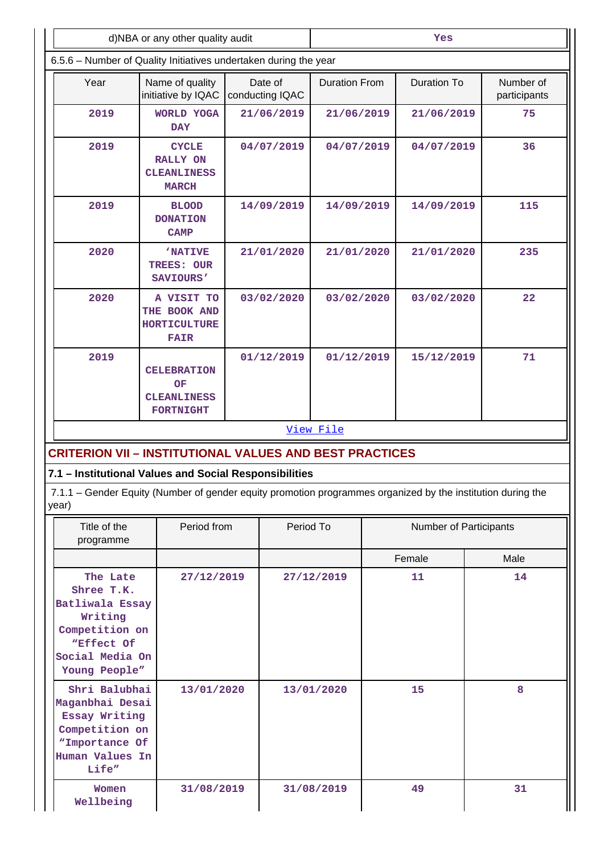| d)NBA or any other quality audit                                                                                         | Yes                                                                   |            |                            |                                     |  |                    |  |                           |
|--------------------------------------------------------------------------------------------------------------------------|-----------------------------------------------------------------------|------------|----------------------------|-------------------------------------|--|--------------------|--|---------------------------|
| 6.5.6 - Number of Quality Initiatives undertaken during the year                                                         |                                                                       |            |                            |                                     |  |                    |  |                           |
| Year                                                                                                                     | Name of quality<br>initiative by IQAC                                 |            | Date of<br>conducting IQAC | <b>Duration From</b>                |  | <b>Duration To</b> |  | Number of<br>participants |
| 2019                                                                                                                     | <b>WORLD YOGA</b><br><b>DAY</b>                                       | 21/06/2019 |                            | 21/06/2019                          |  | 21/06/2019         |  | 75                        |
| 2019                                                                                                                     | <b>CYCLE</b><br><b>RALLY ON</b><br><b>CLEANLINESS</b><br><b>MARCH</b> | 04/07/2019 |                            | 04/07/2019                          |  | 04/07/2019         |  | 36                        |
| 2019                                                                                                                     | <b>BLOOD</b><br><b>DONATION</b><br><b>CAMP</b>                        | 14/09/2019 |                            | 14/09/2019                          |  | 14/09/2019         |  | 115                       |
| 2020                                                                                                                     | <b>'NATIVE</b><br>TREES: OUR<br><b>SAVIOURS'</b>                      | 21/01/2020 |                            | 21/01/2020                          |  | 21/01/2020         |  | 235                       |
| 2020                                                                                                                     | A VISIT TO<br>THE BOOK AND<br><b>HORTICULTURE</b><br><b>FAIR</b>      | 03/02/2020 |                            | 03/02/2020                          |  | 03/02/2020         |  | 22                        |
| 2019                                                                                                                     | <b>CELEBRATION</b><br>OF<br><b>CLEANLINESS</b><br><b>FORTNIGHT</b>    | 01/12/2019 |                            | 01/12/2019<br>View File             |  | 15/12/2019         |  | 71                        |
| <b>CRITERION VII - INSTITUTIONAL VALUES AND BEST PRACTICES</b>                                                           |                                                                       |            |                            |                                     |  |                    |  |                           |
| 7.1 - Institutional Values and Social Responsibilities                                                                   |                                                                       |            |                            |                                     |  |                    |  |                           |
| 7.1.1 – Gender Equity (Number of gender equity promotion programmes organized by the institution during the<br>year)     |                                                                       |            |                            |                                     |  |                    |  |                           |
| Title of the<br>programme                                                                                                | Period from                                                           |            |                            | Period To<br>Number of Participants |  |                    |  |                           |
|                                                                                                                          |                                                                       |            |                            |                                     |  | Female             |  | Male                      |
| The Late<br>Shree T.K.<br>Batliwala Essay<br>Writing<br>Competition on<br>"Effect Of<br>Social Media On<br>Young People" | 27/12/2019                                                            |            |                            | 27/12/2019                          |  | 11                 |  | 14                        |
| Shri Balubhai<br>Maganbhai Desai<br>Essay Writing<br>Competition on<br>"Importance Of<br>Human Values In<br>Life"        | 13/01/2020                                                            |            |                            | 13/01/2020                          |  | 15                 |  | 8                         |
| Women<br>Wellbeing                                                                                                       | 31/08/2019                                                            |            |                            | 31/08/2019                          |  | 49                 |  | 31                        |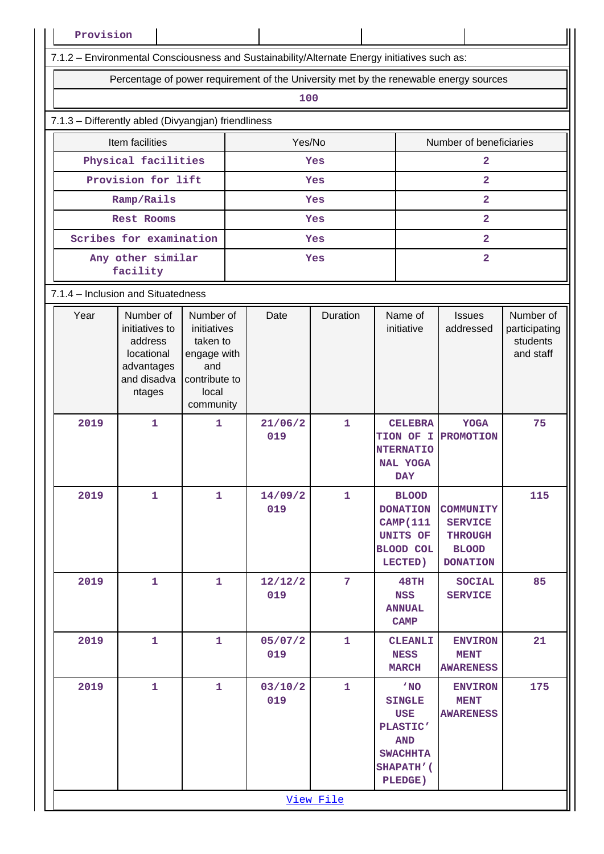| Percentage of power requirement of the University met by the renewable energy sources       |                                         |  |                                                        |                                                     |                         |                |                                                                                                                                                                                                                                                                                                                                                                                                                |                                                                                              |  |  |  |
|---------------------------------------------------------------------------------------------|-----------------------------------------|--|--------------------------------------------------------|-----------------------------------------------------|-------------------------|----------------|----------------------------------------------------------------------------------------------------------------------------------------------------------------------------------------------------------------------------------------------------------------------------------------------------------------------------------------------------------------------------------------------------------------|----------------------------------------------------------------------------------------------|--|--|--|
|                                                                                             |                                         |  |                                                        |                                                     |                         |                |                                                                                                                                                                                                                                                                                                                                                                                                                |                                                                                              |  |  |  |
|                                                                                             |                                         |  |                                                        |                                                     |                         |                |                                                                                                                                                                                                                                                                                                                                                                                                                |                                                                                              |  |  |  |
| Item facilities                                                                             | Yes/No                                  |  |                                                        |                                                     | Number of beneficiaries |                |                                                                                                                                                                                                                                                                                                                                                                                                                |                                                                                              |  |  |  |
| Physical facilities                                                                         |                                         |  | Yes                                                    |                                                     |                         | 2              |                                                                                                                                                                                                                                                                                                                                                                                                                |                                                                                              |  |  |  |
| Provision for lift                                                                          |                                         |  | Yes                                                    |                                                     |                         | $\overline{a}$ |                                                                                                                                                                                                                                                                                                                                                                                                                |                                                                                              |  |  |  |
| Ramp/Rails                                                                                  |                                         |  | Yes                                                    |                                                     |                         |                | $\overline{\mathbf{2}}$                                                                                                                                                                                                                                                                                                                                                                                        |                                                                                              |  |  |  |
| Rest Rooms                                                                                  |                                         |  | Yes                                                    |                                                     |                         |                | $\overline{\mathbf{2}}$                                                                                                                                                                                                                                                                                                                                                                                        |                                                                                              |  |  |  |
| Scribes for examination                                                                     |                                         |  | Yes                                                    |                                                     |                         | $\overline{2}$ |                                                                                                                                                                                                                                                                                                                                                                                                                |                                                                                              |  |  |  |
| Any other similar<br>facility                                                               |                                         |  | Yes                                                    |                                                     |                         |                | $\overline{2}$                                                                                                                                                                                                                                                                                                                                                                                                 |                                                                                              |  |  |  |
| 7.1.4 - Inclusion and Situatedness                                                          |                                         |  |                                                        |                                                     |                         |                |                                                                                                                                                                                                                                                                                                                                                                                                                |                                                                                              |  |  |  |
| Number of<br>initiatives to<br>address<br>locational<br>advantages<br>and disadva<br>ntages | initiatives<br>taken to<br>and<br>local |  | Date                                                   | Duration                                            |                         |                | <b>Issues</b><br>addressed                                                                                                                                                                                                                                                                                                                                                                                     | Number of<br>participating<br>students<br>and staff                                          |  |  |  |
| 1                                                                                           | $\mathbf{1}$                            |  | 21/06/2<br>019                                         | $\mathbf{1}$                                        |                         |                | <b>YOGA</b><br><b>PROMOTION</b>                                                                                                                                                                                                                                                                                                                                                                                | 75                                                                                           |  |  |  |
| $\mathbf{1}$                                                                                | $\mathbf{1}$                            |  | 14/09/2<br>019                                         | $\mathbf{1}$                                        |                         |                | <b>COMMUNITY</b><br><b>SERVICE</b><br><b>THROUGH</b><br><b>BLOOD</b><br><b>DONATION</b>                                                                                                                                                                                                                                                                                                                        | 115                                                                                          |  |  |  |
| 1                                                                                           | $\mathbf{1}$                            |  | 12/12/2<br>019                                         | $\overline{7}$                                      |                         | 48TH           | SOCIAL<br><b>SERVICE</b>                                                                                                                                                                                                                                                                                                                                                                                       | 85                                                                                           |  |  |  |
| 1                                                                                           | $\mathbf{1}$                            |  | 05/07/2<br>019                                         | 1                                                   |                         |                | <b>ENVIRON</b><br><b>MENT</b><br><b>AWARENESS</b>                                                                                                                                                                                                                                                                                                                                                              | 21                                                                                           |  |  |  |
| $\mathbf{1}$                                                                                | $\mathbf{1}$                            |  | 03/10/2<br>019                                         | $\mathbf{1}$                                        |                         | 'NO            | <b>ENVIRON</b><br><b>MENT</b><br><b>AWARENESS</b>                                                                                                                                                                                                                                                                                                                                                              | 175                                                                                          |  |  |  |
|                                                                                             |                                         |  | Number of<br>engage with<br>contribute to<br>community | 7.1.3 - Differently abled (Divyangjan) friendliness | 100                     |                | Name of<br>initiative<br><b>CELEBRA</b><br>TION OF I<br><b>NTERNATIO</b><br><b>NAL YOGA</b><br><b>DAY</b><br><b>BLOOD</b><br><b>DONATION</b><br><b>CAMP(111</b><br><b>UNITS OF</b><br>BLOOD COL<br>LECTED)<br><b>NSS</b><br><b>ANNUAL</b><br><b>CAMP</b><br><b>CLEANLI</b><br><b>NESS</b><br><b>MARCH</b><br><b>SINGLE</b><br><b>USE</b><br>PLASTIC'<br><b>AND</b><br><b>SWACHHTA</b><br>SHAPATH' (<br>PLEDGE) | 7.1.2 - Environmental Consciousness and Sustainability/Alternate Energy initiatives such as: |  |  |  |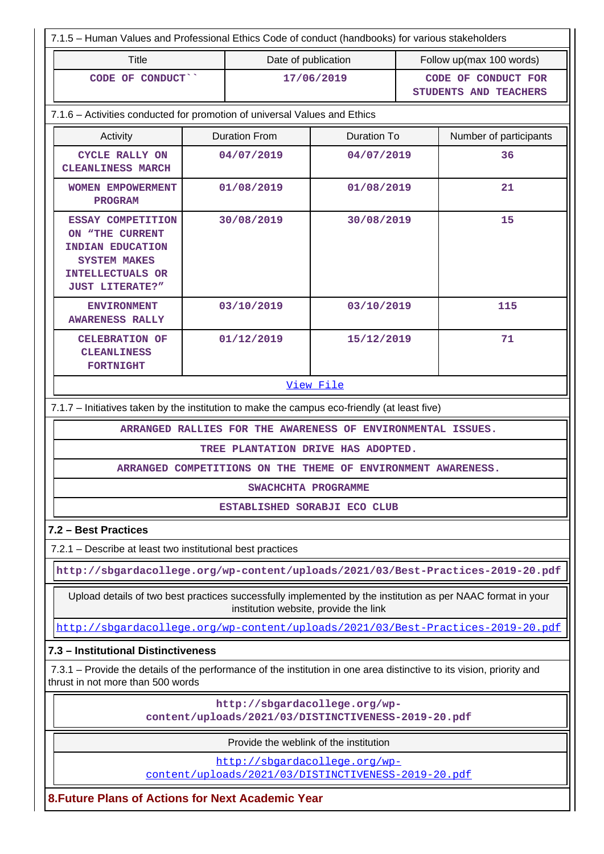| 7.1.5 - Human Values and Professional Ethics Code of conduct (handbooks) for various stakeholders                                                          |                      |                     |                    |                                              |                        |  |  |  |  |  |
|------------------------------------------------------------------------------------------------------------------------------------------------------------|----------------------|---------------------|--------------------|----------------------------------------------|------------------------|--|--|--|--|--|
| <b>Title</b>                                                                                                                                               |                      | Date of publication |                    | Follow up(max 100 words)                     |                        |  |  |  |  |  |
| CODE OF CONDUCT                                                                                                                                            |                      |                     | 17/06/2019         | CODE OF CONDUCT FOR<br>STUDENTS AND TEACHERS |                        |  |  |  |  |  |
| 7.1.6 - Activities conducted for promotion of universal Values and Ethics                                                                                  |                      |                     |                    |                                              |                        |  |  |  |  |  |
| Activity                                                                                                                                                   | <b>Duration From</b> |                     | <b>Duration To</b> |                                              | Number of participants |  |  |  |  |  |
| <b>CYCLE RALLY ON</b><br><b>CLEANLINESS MARCH</b>                                                                                                          | 04/07/2019           |                     | 04/07/2019         |                                              | 36                     |  |  |  |  |  |
| <b>WOMEN EMPOWERMENT</b><br><b>PROGRAM</b>                                                                                                                 | 01/08/2019           |                     | 01/08/2019         |                                              | 21                     |  |  |  |  |  |
| ESSAY COMPETITION<br>ON "THE CURRENT<br><b>INDIAN EDUCATION</b><br><b>SYSTEM MAKES</b><br><b>INTELLECTUALS OR</b><br><b>JUST LITERATE?"</b>                | 30/08/2019           |                     | 30/08/2019         |                                              | 15                     |  |  |  |  |  |
| <b>ENVIRONMENT</b><br><b>AWARENESS RALLY</b>                                                                                                               |                      | 03/10/2019          | 03/10/2019         |                                              | 115                    |  |  |  |  |  |
| <b>CELEBRATION OF</b><br><b>CLEANLINESS</b><br><b>FORTNIGHT</b>                                                                                            |                      | 01/12/2019          | 15/12/2019         |                                              | 71                     |  |  |  |  |  |
| View File                                                                                                                                                  |                      |                     |                    |                                              |                        |  |  |  |  |  |
| 7.1.7 - Initiatives taken by the institution to make the campus eco-friendly (at least five)                                                               |                      |                     |                    |                                              |                        |  |  |  |  |  |
| ARRANGED RALLIES FOR THE AWARENESS OF ENVIRONMENTAL ISSUES.                                                                                                |                      |                     |                    |                                              |                        |  |  |  |  |  |
| <b>TREE PLANTATION DRIVE HAS ADOPTED.</b>                                                                                                                  |                      |                     |                    |                                              |                        |  |  |  |  |  |
| ARRANGED COMPETITIONS ON THE THEME OF ENVIRONMENT AWARENESS.                                                                                               |                      |                     |                    |                                              |                        |  |  |  |  |  |
| SWACHCHTA PROGRAMME                                                                                                                                        |                      |                     |                    |                                              |                        |  |  |  |  |  |
| ESTABLISHED SORABJI ECO CLUB                                                                                                                               |                      |                     |                    |                                              |                        |  |  |  |  |  |
| 7.2 - Best Practices                                                                                                                                       |                      |                     |                    |                                              |                        |  |  |  |  |  |
| 7.2.1 - Describe at least two institutional best practices                                                                                                 |                      |                     |                    |                                              |                        |  |  |  |  |  |
| http://sbgardacollege.org/wp-content/uploads/2021/03/Best-Practices-2019-20.pdf                                                                            |                      |                     |                    |                                              |                        |  |  |  |  |  |
| Upload details of two best practices successfully implemented by the institution as per NAAC format in your<br>institution website, provide the link       |                      |                     |                    |                                              |                        |  |  |  |  |  |
| http://sbgardacollege.org/wp-content/uploads/2021/03/Best-Practices-2019-20.pdf                                                                            |                      |                     |                    |                                              |                        |  |  |  |  |  |
| 7.3 - Institutional Distinctiveness                                                                                                                        |                      |                     |                    |                                              |                        |  |  |  |  |  |
| 7.3.1 - Provide the details of the performance of the institution in one area distinctive to its vision, priority and<br>thrust in not more than 500 words |                      |                     |                    |                                              |                        |  |  |  |  |  |
| http://sbgardacollege.org/wp-<br>content/uploads/2021/03/DISTINCTIVENESS-2019-20.pdf                                                                       |                      |                     |                    |                                              |                        |  |  |  |  |  |
| Provide the weblink of the institution                                                                                                                     |                      |                     |                    |                                              |                        |  |  |  |  |  |
| http://sbgardacollege.org/wp-<br>content/uploads/2021/03/DISTINCTIVENESS-2019-20.pdf                                                                       |                      |                     |                    |                                              |                        |  |  |  |  |  |

**8.Future Plans of Actions for Next Academic Year**